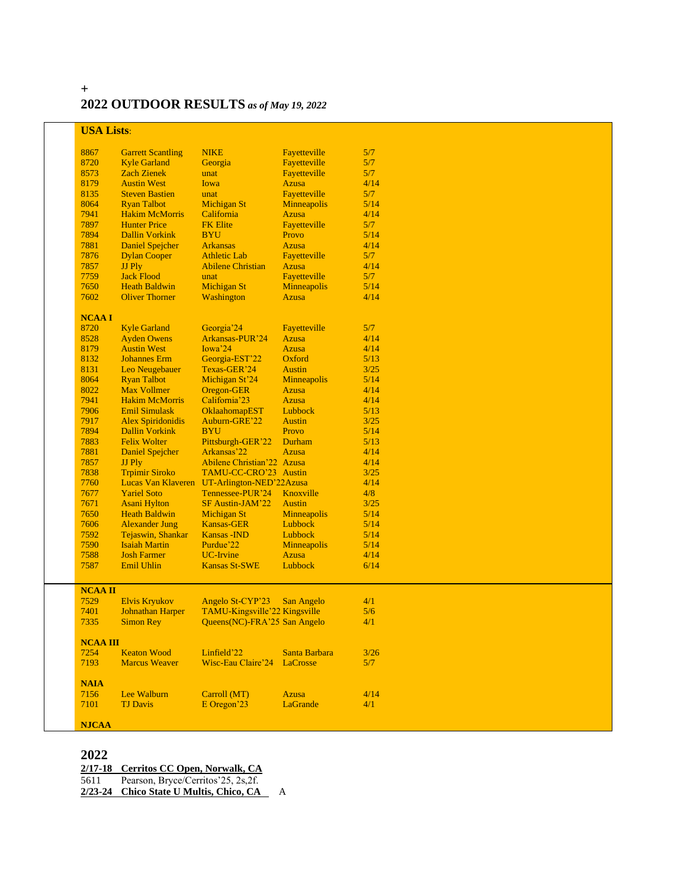# **2022 OUTDOOR RESULTS** *as of May 19, 2022*

| <b>USA Lists:</b>    |                          |                                             |                    |      |  |
|----------------------|--------------------------|---------------------------------------------|--------------------|------|--|
| 8867                 | <b>Garrett Scantling</b> | <b>NIKE</b>                                 | Fayetteville       | 5/7  |  |
| 8720                 | <b>Kyle Garland</b>      | Georgia                                     | Fayetteville       | 5/7  |  |
| 8573                 | <b>Zach Zienek</b>       | unat                                        | Fayetteville       | 5/7  |  |
| 8179                 | <b>Austin West</b>       | Iowa                                        | <b>Azusa</b>       | 4/14 |  |
| 8135                 | <b>Steven Bastien</b>    | unat                                        | Fayetteville       | 5/7  |  |
| 8064                 | <b>Ryan Talbot</b>       | <b>Michigan St</b>                          | Minneapolis        | 5/14 |  |
| 7941                 | <b>Hakim McMorris</b>    | California                                  | <b>Azusa</b>       | 4/14 |  |
| 7897                 | <b>Hunter Price</b>      | <b>FK Elite</b>                             | Fayetteville       | 5/7  |  |
| 7894                 | <b>Dallin Vorkink</b>    | <b>BYU</b>                                  | Provo              | 5/14 |  |
| 7881                 | <b>Daniel Spejcher</b>   | <b>Arkansas</b>                             | <b>Azusa</b>       | 4/14 |  |
| 7876                 | <b>Dylan Cooper</b>      | <b>Athletic Lab</b>                         | Fayetteville       | 5/7  |  |
| 7857                 | JJ Ply                   | <b>Abilene Christian</b>                    | <b>Azusa</b>       | 4/14 |  |
| 7759                 | <b>Jack Flood</b>        | unat                                        | Fayetteville       | 5/7  |  |
| 7650                 | <b>Heath Baldwin</b>     | <b>Michigan St</b>                          | Minneapolis        | 5/14 |  |
| 7602                 | <b>Oliver Thorner</b>    | Washington                                  | <b>Azusa</b>       | 4/14 |  |
|                      |                          |                                             |                    |      |  |
| <b>NCAAI</b><br>8720 | <b>Kyle Garland</b>      | Georgia'24                                  | Fayetteville       | 5/7  |  |
| 8528                 | <b>Ayden Owens</b>       | Arkansas-PUR'24                             | <b>Azusa</b>       | 4/14 |  |
| 8179                 | <b>Austin West</b>       | Iowa'24                                     | <b>Azusa</b>       | 4/14 |  |
| 8132                 | <b>Johannes</b> Erm      | Georgia-EST'22                              | Oxford             | 5/13 |  |
| 8131                 | Leo Neugebauer           | Texas-GER'24                                | <b>Austin</b>      | 3/25 |  |
| 8064                 | <b>Ryan Talbot</b>       | Michigan St'24                              | <b>Minneapolis</b> | 5/14 |  |
| 8022                 | <b>Max Vollmer</b>       | Oregon-GER                                  | <b>Azusa</b>       | 4/14 |  |
| 7941                 | <b>Hakim McMorris</b>    | California'23                               | <b>Azusa</b>       | 4/14 |  |
| 7906                 | <b>Emil Simulask</b>     | OklaahomapEST                               | Lubbock            | 5/13 |  |
| 7917                 | <b>Alex Spiridonidis</b> | Auburn-GRE'22                               | <b>Austin</b>      | 3/25 |  |
| 7894                 | <b>Dallin Vorkink</b>    | <b>BYU</b>                                  | Provo              | 5/14 |  |
| 7883                 | <b>Felix Wolter</b>      | Pittsburgh-GER'22                           | Durham             | 5/13 |  |
| 7881                 | <b>Daniel Spejcher</b>   | Arkansas'22                                 | <b>Azusa</b>       | 4/14 |  |
| 7857                 | JJ Ply                   | Abilene Christian'22 Azusa                  |                    | 4/14 |  |
| 7838                 | <b>Trpimir Siroko</b>    | TAMU-CC-CRO'23 Austin                       |                    | 3/25 |  |
| 7760                 |                          | Lucas Van Klaveren UT-Arlington-NED'22Azusa |                    | 4/14 |  |
| 7677                 | <b>Yariel Soto</b>       | Tennessee-PUR'24                            | Knoxville          | 4/8  |  |
| 7671                 | <b>Asani Hylton</b>      | SF Austin-JAM'22                            | <b>Austin</b>      | 3/25 |  |
| 7650                 | <b>Heath Baldwin</b>     | <b>Michigan St</b>                          | Minneapolis        | 5/14 |  |
| 7606                 | <b>Alexander Jung</b>    | <b>Kansas-GER</b>                           | Lubbock            | 5/14 |  |
| 7592                 | Tejaswin, Shankar        | <b>Kansas - IND</b>                         | Lubbock            | 5/14 |  |
| 7590                 | <b>Isaiah Martin</b>     | Purdue'22                                   | <b>Minneapolis</b> | 5/14 |  |
| 7588                 | <b>Josh Farmer</b>       | <b>UC-Irvine</b>                            | <b>Azusa</b>       | 4/14 |  |
| 7587                 | Emil Uhlin               | <b>Kansas St-SWE</b>                        | Lubbock            | 6/14 |  |
|                      |                          |                                             |                    |      |  |
| <b>NCAA II</b>       |                          |                                             |                    |      |  |
| 7529                 | <b>Elvis Kryukov</b>     | Angelo St-CYP'23                            | San Angelo         | 4/1  |  |
| 7401                 | <b>Johnathan Harper</b>  | TAMU-Kingsville'22 Kingsville               |                    | 5/6  |  |
| 7335                 | <b>Simon Rey</b>         | Queens(NC)-FRA'25 San Angelo                |                    | 4/1  |  |
|                      |                          |                                             |                    |      |  |
| <b>NCAA III</b>      |                          |                                             |                    |      |  |
| 7254                 | <b>Keaton Wood</b>       | Linfield'22                                 | Santa Barbara      | 3/26 |  |
| 7193                 | <b>Marcus Weaver</b>     | Wisc-Eau Claire'24                          | LaCrosse           | 5/7  |  |
| <b>NAIA</b>          |                          |                                             |                    |      |  |
|                      | Lee Walburn              | Carroll (MT)                                | <b>Azusa</b>       | 4/14 |  |
| 7156                 | <b>TJ Davis</b>          |                                             |                    |      |  |
| 7101                 |                          | E Oregon'23                                 | LaGrande           | 4/1  |  |
| <b>NJCAA</b>         |                          |                                             |                    |      |  |
|                      |                          |                                             |                    |      |  |

# 

**2/17-18 Cerritos CC Open, Norwalk, CA**

Pearson, Bryce/Cerritos'25, 2s,2f.

**2/23-24 Chico State U Multis, Chico, CA** A

**+**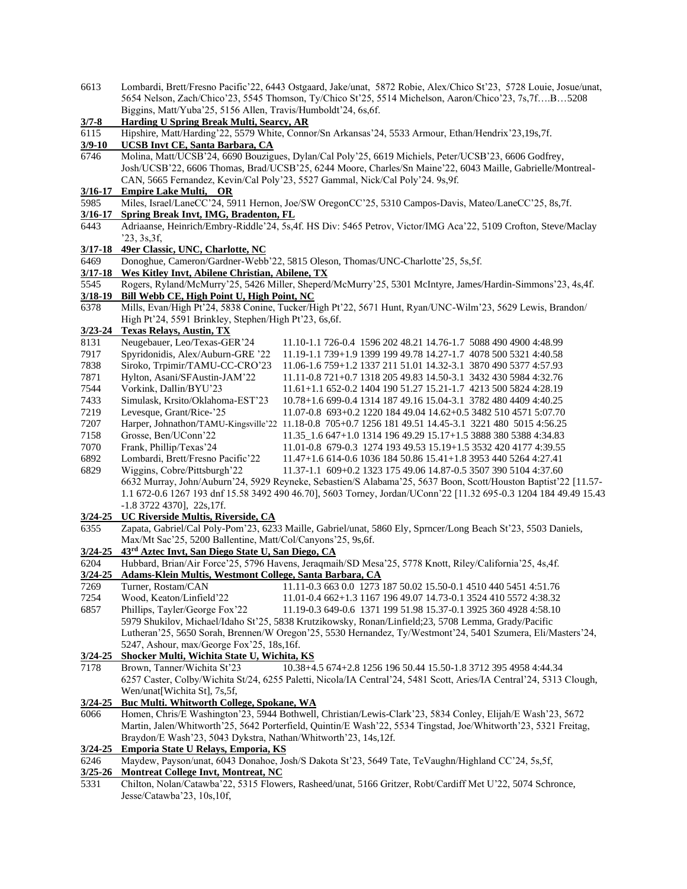| 6613        |                                                                 | Lombardi, Brett/Fresno Pacific'22, 6443 Ostgaard, Jake/unat, 5872 Robie, Alex/Chico St'23, 5728 Louie, Josue/unat,  |
|-------------|-----------------------------------------------------------------|---------------------------------------------------------------------------------------------------------------------|
|             |                                                                 | 5654 Nelson, Zach/Chico'23, 5545 Thomson, Ty/Chico St'25, 5514 Michelson, Aaron/Chico'23, 7s, 7fB5208               |
|             | Biggins, Matt/Yuba'25, 5156 Allen, Travis/Humboldt'24, 6s, 6f.  |                                                                                                                     |
| $3/7 - 8$   | <b>Harding U Spring Break Multi, Searcy, AR</b>                 |                                                                                                                     |
| 6115        |                                                                 | Hipshire, Matt/Harding'22, 5579 White, Connor/Sn Arkansas'24, 5533 Armour, Ethan/Hendrix'23,19s,7f.                 |
| $3/9 - 10$  | <b>UCSB Invt CE, Santa Barbara, CA</b>                          |                                                                                                                     |
| 6746        |                                                                 | Molina, Matt/UCSB'24, 6690 Bouzigues, Dylan/Cal Poly'25, 6619 Michiels, Peter/UCSB'23, 6606 Godfrey,                |
|             |                                                                 | Josh/UCSB'22, 6606 Thomas, Brad/UCSB'25, 6244 Moore, Charles/Sn Maine'22, 6043 Maille, Gabrielle/Montreal-          |
|             |                                                                 | CAN, 5665 Fernandez, Kevin/Cal Poly'23, 5527 Gammal, Nick/Cal Poly'24. 9s,9f.                                       |
| $3/16 - 17$ | <b>Empire Lake Multi, OR</b>                                    |                                                                                                                     |
| 5985        |                                                                 | Miles, Israel/LaneCC'24, 5911 Hernon, Joe/SW OregonCC'25, 5310 Campos-Davis, Mateo/LaneCC'25, 8s,7f.                |
| $3/16 - 17$ | Spring Break Invt, IMG, Bradenton, FL                           |                                                                                                                     |
|             |                                                                 |                                                                                                                     |
| 6443        |                                                                 | Adriaanse, Heinrich/Embry-Riddle'24, 5s,4f. HS Div: 5465 Petrov, Victor/IMG Aca'22, 5109 Crofton, Steve/Maclay      |
|             | '23, 3s, 3f,                                                    |                                                                                                                     |
| $3/17 - 18$ | 49er Classic, UNC, Charlotte, NC                                |                                                                                                                     |
| 6469        |                                                                 | Donoghue, Cameron/Gardner-Webb'22, 5815 Oleson, Thomas/UNC-Charlotte'25, 5s,5f.                                     |
|             | 3/17-18 Wes Kitley Invt, Abilene Christian, Abilene, TX         |                                                                                                                     |
| 5545        |                                                                 | Rogers, Ryland/McMurry'25, 5426 Miller, Sheperd/McMurry'25, 5301 McIntyre, James/Hardin-Simmons'23, 4s,4f.          |
| $3/18 - 19$ | Bill Webb CE, High Point U, High Point, NC                      |                                                                                                                     |
| 6378        |                                                                 | Mills, Evan/High Pt'24, 5838 Conine, Tucker/High Pt'22, 5671 Hunt, Ryan/UNC-Wilm'23, 5629 Lewis, Brandon/           |
|             | High Pt'24, 5591 Brinkley, Stephen/High Pt'23, 6s, 6f.          |                                                                                                                     |
| 3/23-24     | <b>Texas Relays, Austin, TX</b>                                 |                                                                                                                     |
| 8131        | Neugebauer, Leo/Texas-GER'24                                    | 11.10-1.1 726-0.4 1596 202 48.21 14.76-1.7 5088 490 4900 4:48.99                                                    |
| 7917        | Spyridonidis, Alex/Auburn-GRE '22                               | 11.19-1.1 739+1.9 1399 199 49.78 14.27-1.7 4078 500 5321 4:40.58                                                    |
| 7838        | Siroko, Trpimir/TAMU-CC-CRO'23                                  | 11.06-1.6 759+1.2 1337 211 51.01 14.32-3.1 3870 490 5377 4:57.93                                                    |
| 7871        | Hylton, Asani/SFAustin-JAM'22                                   | 11.11-0.8 721+0.7 1318 205 49.83 14.50-3.1 3432 430 5984 4:32.76                                                    |
| 7544        | Vorkink, Dallin/BYU'23                                          | 11.61+1.1 652-0.2 1404 190 51.27 15.21-1.7 4213 500 5824 4:28.19                                                    |
| 7433        | Simulask, Krsito/Oklahoma-EST'23                                | 10.78+1.6 699-0.4 1314 187 49.16 15.04-3.1 3782 480 4409 4:40.25                                                    |
| 7219        | Levesque, Grant/Rice-'25                                        | 11.07-0.8 693+0.2 1220 184 49.04 14.62+0.5 3482 510 4571 5:07.70                                                    |
| 7207        |                                                                 | Harper, Johnathon/TAMU-Kingsville'22 11.18-0.8 705+0.7 1256 181 49.51 14.45-3.1 3221 480 5015 4:56.25               |
| 7158        | Grosse, Ben/UConn'22                                            | 11.35 1.6 647+1.0 1314 196 49.29 15.17+1.5 3888 380 5388 4:34.83                                                    |
| 7070        | Frank, Phillip/Texas'24                                         | 11.01-0.8 679-0.3 1274 193 49.53 15.19+1.5 3532 420 4177 4:39.55                                                    |
| 6892        | Lombardi, Brett/Fresno Pacific'22                               | 11.47+1.6 614-0.6 1036 184 50.86 15.41+1.8 3953 440 5264 4:27.41                                                    |
| 6829        | Wiggins, Cobre/Pittsburgh'22                                    | 11.37-1.1 609+0.2 1323 175 49.06 14.87-0.5 3507 390 5104 4:37.60                                                    |
|             |                                                                 | 6632 Murray, John/Auburn'24, 5929 Reyneke, Sebastien/S Alabama'25, 5637 Boon, Scott/Houston Baptist'22 [11.57-      |
|             |                                                                 | 1.1 672-0.6 1267 193 dnf 15.58 3492 490 46.70], 5603 Torney, Jordan/UConn'22 [11.32 695-0.3 1204 184 49.49 15.43    |
|             | $-1.8$ 3722 4370], 22s, 17f.                                    |                                                                                                                     |
|             |                                                                 |                                                                                                                     |
|             | 3/24-25 UC Riverside Multis, Riverside, CA                      |                                                                                                                     |
| 6355        |                                                                 | Zapata, Gabriel/Cal Poly-Pom'23, 6233 Maille, Gabriel/unat, 5860 Ely, Sprncer/Long Beach St'23, 5503 Daniels,       |
|             | Max/Mt Sac'25, 5200 Ballentine, Matt/Col/Canyons'25, 9s, 6f.    |                                                                                                                     |
| $3/24 - 25$ | 43 <sup>rd</sup> Aztec Invt, San Diego State U, San Diego, CA   |                                                                                                                     |
| 6204        |                                                                 | Hubbard, Brian/Air Force'25, 5796 Havens, Jeraqmaih/SD Mesa'25, 5778 Knott, Riley/California'25, 4s,4f.             |
| 3/24-25     | Adams-Klein Multis, Westmont College, Santa Barbara, CA         |                                                                                                                     |
| 7269        |                                                                 | Turner, Rostam/CAN 11.11-0.3 663 0.0 1273 187 50.02 15.50-0.1 4510 440 5451 4:51.76                                 |
| 7254        | Wood, Keaton/Linfield'22                                        | 11.01-0.4 662+1.3 1167 196 49.07 14.73-0.1 3524 410 5572 4:38.32                                                    |
| 6857        | Phillips, Tayler/George Fox'22                                  | 11.19-0.3 649-0.6 1371 199 51.98 15.37-0.1 3925 360 4928 4:58.10                                                    |
|             |                                                                 | 5979 Shukilov, Michael/Idaho St'25, 5838 Krutzikowsky, Ronan/Linfield;23, 5708 Lemma, Grady/Pacific                 |
|             |                                                                 | Lutheran'25, 5650 Sorah, Brennen/W Oregon'25, 5530 Hernandez, Ty/Westmont'24, 5401 Szumera, Eli/Masters'24,         |
|             | 5247, Ashour, max/George Fox'25, 18s,16f.                       |                                                                                                                     |
| 3/24-25     | Shocker Multi, Wichita State U, Wichita, KS                     |                                                                                                                     |
| 7178        | Brown, Tanner/Wichita St'23                                     | 10.38+4.5 674+2.8 1256 196 50.44 15.50-1.8 3712 395 4958 4:44.34                                                    |
|             |                                                                 | 6257 Caster, Colby/Wichita St/24, 6255 Paletti, Nicola/IA Central'24, 5481 Scott, Aries/IA Central'24, 5313 Clough, |
|             | Wen/unat[Wichita St], 7s,5f,                                    |                                                                                                                     |
| $3/24 - 25$ | <b>Buc Multi. Whitworth College, Spokane, WA</b>                |                                                                                                                     |
| 6066        |                                                                 | Homen, Chris/E Washington'23, 5944 Bothwell, Christian/Lewis-Clark'23, 5834 Conley, Elijah/E Wash'23, 5672          |
|             |                                                                 | Martin, Jalen/Whitworth'25, 5642 Porterfield, Quintin/E Wash'22, 5534 Tingstad, Joe/Whitworth'23, 5321 Freitag,     |
|             | Braydon/E Wash'23, 5043 Dykstra, Nathan/Whitworth'23, 14s, 12f. |                                                                                                                     |
| $3/24 - 25$ |                                                                 |                                                                                                                     |
|             |                                                                 |                                                                                                                     |
|             | <b>Emporia State U Relays, Emporia, KS</b>                      |                                                                                                                     |
| 6246        |                                                                 | Maydew, Payson/unat, 6043 Donahoe, Josh/S Dakota St'23, 5649 Tate, TeVaughn/Highland CC'24, 5s,5f,                  |
| $3/25 - 26$ | <b>Montreat College Invt, Montreat, NC</b>                      |                                                                                                                     |
| 5331        | Jesse/Catawba'23, 10s, 10f,                                     | Chilton, Nolan/Catawba'22, 5315 Flowers, Rasheed/unat, 5166 Gritzer, Robt/Cardiff Met U'22, 5074 Schronce,          |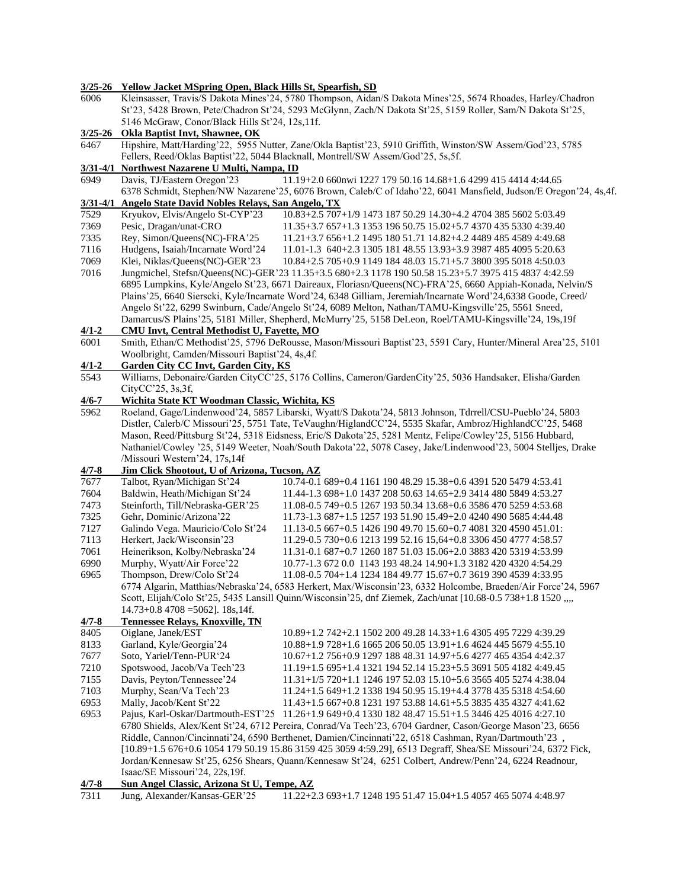| 6006              | 3/25-26 Yellow Jacket MSpring Open, Black Hills St, Spearfish, SD                                                                                                                                                         |                                                                                                                                                                                                                       |  |  |
|-------------------|---------------------------------------------------------------------------------------------------------------------------------------------------------------------------------------------------------------------------|-----------------------------------------------------------------------------------------------------------------------------------------------------------------------------------------------------------------------|--|--|
|                   | Kleinsasser, Travis/S Dakota Mines'24, 5780 Thompson, Aidan/S Dakota Mines'25, 5674 Rhoades, Harley/Chadron<br>St'23, 5428 Brown, Pete/Chadron St'24, 5293 McGlynn, Zach/N Dakota St'25, 5159 Roller, Sam/N Dakota St'25, |                                                                                                                                                                                                                       |  |  |
|                   |                                                                                                                                                                                                                           |                                                                                                                                                                                                                       |  |  |
|                   | 5146 McGraw, Conor/Black Hills St'24, 12s, 11f.                                                                                                                                                                           |                                                                                                                                                                                                                       |  |  |
| $3/25 - 26$       | <b>Okla Baptist Invt, Shawnee, OK</b>                                                                                                                                                                                     |                                                                                                                                                                                                                       |  |  |
| 6467              |                                                                                                                                                                                                                           | Hipshire, Matt/Harding'22, 5955 Nutter, Zane/Okla Baptist'23, 5910 Griffith, Winston/SW Assem/God'23, 5785                                                                                                            |  |  |
|                   |                                                                                                                                                                                                                           | Fellers, Reed/Oklas Baptist'22, 5044 Blacknall, Montrell/SW Assem/God'25, 5s,5f.                                                                                                                                      |  |  |
| $3/31 - 4/1$      | Northwest Nazarene U Multi, Nampa, ID                                                                                                                                                                                     |                                                                                                                                                                                                                       |  |  |
| 6949              | Davis, TJ/Eastern Oregon'23                                                                                                                                                                                               | 11.19+2.0 660nwi 1227 179 50.16 14.68+1.6 4299 415 4414 4:44.65                                                                                                                                                       |  |  |
|                   |                                                                                                                                                                                                                           | 6378 Schmidt, Stephen/NW Nazarene'25, 6076 Brown, Caleb/C of Idaho'22, 6041 Mansfield, Judson/E Oregon'24, 4s,4f.                                                                                                     |  |  |
| $3/31 - 4/1$      | Angelo State David Nobles Relays, San Angelo, TX                                                                                                                                                                          |                                                                                                                                                                                                                       |  |  |
| 7529              | Kryukov, Elvis/Angelo St-CYP'23                                                                                                                                                                                           | 10.83+2.5 707+1/9 1473 187 50.29 14.30+4.2 4704 385 5602 5:03.49                                                                                                                                                      |  |  |
| 7369              | Pesic, Dragan/unat-CRO                                                                                                                                                                                                    | 11.35+3.7 657+1.3 1353 196 50.75 15.02+5.7 4370 435 5330 4:39.40                                                                                                                                                      |  |  |
| 7335              | Rey, Simon/Queens(NC)-FRA'25                                                                                                                                                                                              | 11.21+3.7 656+1.2 1495 180 51.71 14.82+4.2 4489 485 4589 4:49.68                                                                                                                                                      |  |  |
| 7116              | Hudgens, Isaiah/Incarnate Word'24                                                                                                                                                                                         | 11.01-1.3 640+2.3 1305 181 48.55 13.93+3.9 3987 485 4095 5:20.63                                                                                                                                                      |  |  |
| 7069              | Klei, Niklas/Queens(NC)-GER'23                                                                                                                                                                                            | 10.84+2.5 705+0.9 1149 184 48.03 15.71+5.7 3800 395 5018 4:50.03                                                                                                                                                      |  |  |
| 7016              |                                                                                                                                                                                                                           | Jungmichel, Stefsn/Queens(NC)-GER'23 11.35+3.5 680+2.3 1178 190 50.58 15.23+5.7 3975 415 4837 4:42.59                                                                                                                 |  |  |
|                   |                                                                                                                                                                                                                           | 6895 Lumpkins, Kyle/Angelo St'23, 6671 Daireaux, Floriasn/Queens(NC)-FRA'25, 6660 Appiah-Konada, Nelvin/S                                                                                                             |  |  |
|                   |                                                                                                                                                                                                                           | Plains'25, 6640 Sierscki, Kyle/Incarnate Word'24, 6348 Gilliam, Jeremiah/Incarnate Word'24,6338 Goode, Creed/                                                                                                         |  |  |
|                   |                                                                                                                                                                                                                           | Angelo St'22, 6299 Swinburn, Cade/Angelo St'24, 6089 Melton, Nathan/TAMU-Kingsville'25, 5561 Sneed,                                                                                                                   |  |  |
|                   |                                                                                                                                                                                                                           | Damarcus/S Plains' 25, 5181 Miller, Shepherd, McMurry' 25, 5158 DeLeon, Roel/TAMU-Kingsville' 24, 19s, 19f                                                                                                            |  |  |
| $4/1 - 2$         | <b>CMU Invt, Central Methodist U, Fayette, MO</b>                                                                                                                                                                         |                                                                                                                                                                                                                       |  |  |
| 6001              |                                                                                                                                                                                                                           | Smith, Ethan/C Methodist'25, 5796 DeRousse, Mason/Missouri Baptist'23, 5591 Cary, Hunter/Mineral Area'25, 5101                                                                                                        |  |  |
|                   | Woolbright, Camden/Missouri Baptist'24, 4s, 4f.                                                                                                                                                                           |                                                                                                                                                                                                                       |  |  |
| $4/1 - 2$         | <b>Garden City CC Invt, Garden City, KS</b>                                                                                                                                                                               |                                                                                                                                                                                                                       |  |  |
| 5543              |                                                                                                                                                                                                                           | Williams, Debonaire/Garden CityCC'25, 5176 Collins, Cameron/GardenCity'25, 5036 Handsaker, Elisha/Garden                                                                                                              |  |  |
|                   | CityCC'25, 3s, 3f,                                                                                                                                                                                                        |                                                                                                                                                                                                                       |  |  |
| $4/6 - 7$<br>5962 | Wichita State KT Woodman Classic, Wichita, KS                                                                                                                                                                             | Roeland, Gage/Lindenwood'24, 5857 Libarski, Wyatt/S Dakota'24, 5813 Johnson, Tdrrell/CSU-Pueblo'24, 5803                                                                                                              |  |  |
|                   |                                                                                                                                                                                                                           |                                                                                                                                                                                                                       |  |  |
|                   |                                                                                                                                                                                                                           | Distler, Calerb/C Missouri'25, 5751 Tate, TeVaughn/HiglandCC'24, 5535 Skafar, Ambroz/HighlandCC'25, 5468<br>Mason, Reed/Pittsburg St'24, 5318 Eidsness, Eric/S Dakota'25, 5281 Mentz, Felipe/Cowley'25, 5156 Hubbard, |  |  |
|                   |                                                                                                                                                                                                                           | Nathaniel/Cowley '25, 5149 Weeter, Noah/South Dakota'22, 5078 Casey, Jake/Lindenwood'23, 5004 Stelljes, Drake                                                                                                         |  |  |
|                   | /Missouri Western'24, 17s,14f                                                                                                                                                                                             |                                                                                                                                                                                                                       |  |  |
| $4/7 - 8$         | Jim Click Shootout, U of Arizona, Tucson, AZ                                                                                                                                                                              |                                                                                                                                                                                                                       |  |  |
| 7677              | Talbot, Ryan/Michigan St'24                                                                                                                                                                                               | 10.74-0.1 689+0.4 1161 190 48.29 15.38+0.6 4391 520 5479 4:53.41                                                                                                                                                      |  |  |
| 7604              | Baldwin, Heath/Michigan St'24                                                                                                                                                                                             | 11.44-1.3 698+1.0 1437 208 50.63 14.65+2.9 3414 480 5849 4:53.27                                                                                                                                                      |  |  |
| 7473              | Steinforth, Till/Nebraska-GER'25                                                                                                                                                                                          | 11.08-0.5 749+0.5 1267 193 50.34 13.68+0.6 3586 470 5259 4:53.68                                                                                                                                                      |  |  |
| 7325              | Gehr, Dominic/Arizona'22                                                                                                                                                                                                  | 11.73-1.3 687+1.5 1257 193 51.90 15.49+2.0 4240 490 5685 4:44.48                                                                                                                                                      |  |  |
| 7127              | Galindo Vega. Mauricio/Colo St'24                                                                                                                                                                                         | 11.13-0.5 667+0.5 1426 190 49.70 15.60+0.7 4081 320 4590 451.01:                                                                                                                                                      |  |  |
| 7113              | Herkert, Jack/Wisconsin'23                                                                                                                                                                                                | 11.29-0.5 730+0.6 1213 199 52.16 15,64+0.8 3306 450 4777 4:58.57                                                                                                                                                      |  |  |
| 7061              | Heinerikson, Kolby/Nebraska'24                                                                                                                                                                                            | 11.31-0.1 687+0.7 1260 187 51.03 15.06+2.0 3883 420 5319 4:53.99                                                                                                                                                      |  |  |
| 6990              | Murphy, Wyatt/Air Force'22                                                                                                                                                                                                | 10.77-1.3 672 0.0 1143 193 48.24 14.90+1.3 3182 420 4320 4:54.29                                                                                                                                                      |  |  |
| 6965              | Thompson, Drew/Colo St'24                                                                                                                                                                                                 | 11.08-0.5 704+1.4 1234 184 49.77 15.67+0.7 3619 390 4539 4:33.95                                                                                                                                                      |  |  |
|                   |                                                                                                                                                                                                                           | 6774 Algarin, Matthias/Nebraska'24, 6583 Herkert, Max/Wisconsin'23, 6332 Holcombe, Braeden/Air Force'24, 5967                                                                                                         |  |  |
|                   |                                                                                                                                                                                                                           | Scott, Elijah/Colo St'25, 5435 Lansill Quinn/Wisconsin'25, dnf Ziemek, Zach/unat [10.68-0.5 738+1.8 1520                                                                                                              |  |  |
|                   | $14.73+0.8$ 4708 = 5062]. 18s, 14f.                                                                                                                                                                                       |                                                                                                                                                                                                                       |  |  |
| $4/7 - 8$         | <b>Tennessee Relays, Knoxville, TN</b>                                                                                                                                                                                    |                                                                                                                                                                                                                       |  |  |
| 8405              | Oiglane, Janek/EST                                                                                                                                                                                                        | 10.89+1.2 742+2.1 1502 200 49.28 14.33+1.6 4305 495 7229 4:39.29                                                                                                                                                      |  |  |
| 8133              | Garland, Kyle/Georgia'24                                                                                                                                                                                                  | 10.88+1.9 728+1.6 1665 206 50.05 13.91+1.6 4624 445 5679 4:55.10                                                                                                                                                      |  |  |
| 7677              | Soto, Yariel/Tenn-PUR'24                                                                                                                                                                                                  | 10.67+1.2 756+0.9 1297 188 48.31 14.97+5.6 4277 465 4354 4:42.37                                                                                                                                                      |  |  |
| 7210              | Spotswood, Jacob/Va Tech'23                                                                                                                                                                                               | 11.19+1.5 695+1.4 1321 194 52.14 15.23+5.5 3691 505 4182 4:49.45                                                                                                                                                      |  |  |
| 7155              | Dovis Dovton Tonnoscoo <sup>2</sup>                                                                                                                                                                                       | $11.21 + 1/5.720 + 1.1.1246$ $107.52$ $02.15$ $10.5$ 6.2565 $405.5274$ $4.29$ $04$                                                                                                                                    |  |  |

7155 Davis, Peyton/Tennessee'24 11.31+1/5 720+1.1 1246 197 52.03 15.10+5.6 3565 405 5274 4:38.04 7103 Murphy, Sean/Va Tech'23 11.24+1.5 649+1.2 1338 194 50.95 15.19+4.4 3778 435 5318 4:54.60<br>6953 Mally, Jacob/Kent St'22 11.43+1.5 667+0.8 1231 197 53.88 14.61+5.5 3835 435 4327 4:41.62 6953 Mally, Jacob/Kent St'22 11.43+1.5 667+0.8 1231 197 53.88 14.61+5.5 3835 435 4327 4:41.62 6953 Pajus, Karl-Oskar/Dartmouth-EST'25 11.26+1.9 649+0.4 1330 182 48.47 15.51+1.5 3446 425 4016 4:27.10 6780 Shields, Alex/Kent St'24, 6712 Pereira, Conrad/Va Tech'23, 6704 Gardner, Cason/George Mason'23, 6656 Riddle, Cannon/Cincinnati'24, 6590 Berthenet, Damien/Cincinnati'22, 6518 Cashman, Ryan/Dartmouth'23 , [10.89+1.5 676+0.6 1054 179 50.19 15.86 3159 425 3059 4:59.29], 6513 Degraff, Shea/SE Missouri'24, 6372 Fick, Jordan/Kennesaw St'25, 6256 Shears, Quann/Kennesaw St'24, 6251 Colbert, Andrew/Penn'24, 6224 Readnour, Isaac/SE Missouri'24, 22s,19f.

**4/7-8 Sun Angel Classic, Arizona St U, Tempe, AZ**  $\overline{11.22+2.3}$  693+1.7 1248 195 51.47 15.04+1.5 4057 465 5074 4:48.97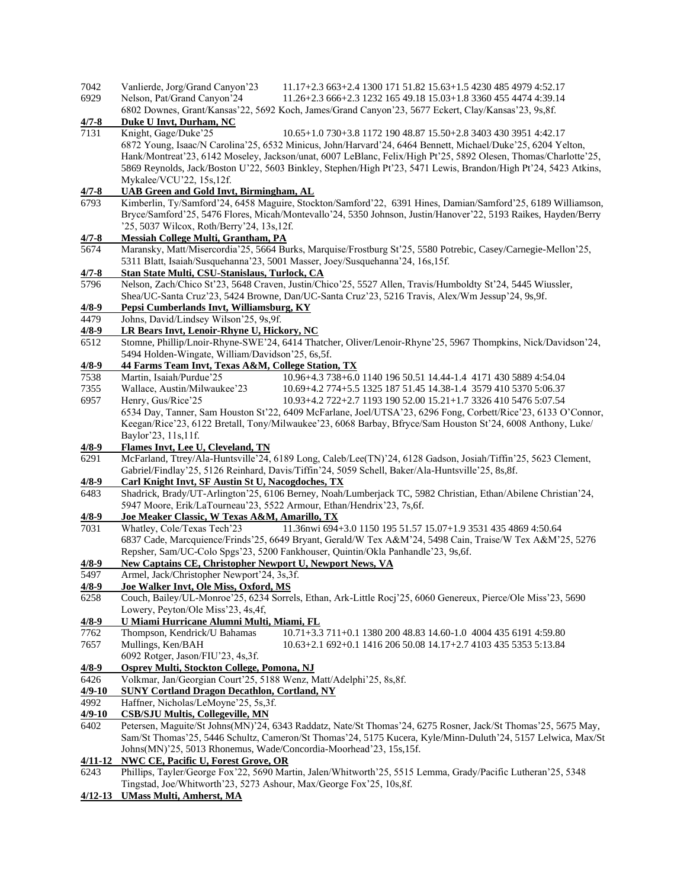| 7042<br>6929      | Vanlierde, Jorg/Grand Canyon'23<br>11.17+2.3 663+2.4 1300 171 51.82 15.63+1.5 4230 485 4979 4:52.17<br>Nelson, Pat/Grand Canyon'24<br>11.26+2.3 666+2.3 1232 165 49.18 15.03+1.8 3360 455 4474 4:39.14                                                                                                                                                                                                                                                                     |
|-------------------|----------------------------------------------------------------------------------------------------------------------------------------------------------------------------------------------------------------------------------------------------------------------------------------------------------------------------------------------------------------------------------------------------------------------------------------------------------------------------|
|                   | 6802 Downes, Grant/Kansas'22, 5692 Koch, James/Grand Canyon'23, 5677 Eckert, Clay/Kansas'23, 9s, 8f.                                                                                                                                                                                                                                                                                                                                                                       |
| $4/7 - 8$<br>7131 | Duke U Invt, Durham, NC                                                                                                                                                                                                                                                                                                                                                                                                                                                    |
|                   | Knight, Gage/Duke'25<br>10.65+1.0 730+3.8 1172 190 48.87 15.50+2.8 3403 430 3951 4:42.17<br>6872 Young, Isaac/N Carolina'25, 6532 Minicus, John/Harvard'24, 6464 Bennett, Michael/Duke'25, 6204 Yelton,<br>Hank/Montreat'23, 6142 Moseley, Jackson/unat, 6007 LeBlanc, Felix/High Pt'25, 5892 Olesen, Thomas/Charlotte'25,<br>5869 Reynolds, Jack/Boston U'22, 5603 Binkley, Stephen/High Pt'23, 5471 Lewis, Brandon/High Pt'24, 5423 Atkins,<br>Mykalee/VCU'22, 15s, 12f. |
| $4/7 - 8$         | <b>UAB Green and Gold Invt, Birmingham, AL</b>                                                                                                                                                                                                                                                                                                                                                                                                                             |
| 6793              | Kimberlin, Ty/Samford'24, 6458 Maguire, Stockton/Samford'22, 6391 Hines, Damian/Samford'25, 6189 Williamson,<br>Bryce/Samford'25, 5476 Flores, Micah/Montevallo'24, 5350 Johnson, Justin/Hanover'22, 5193 Raikes, Hayden/Berry<br>'25, 5037 Wilcox, Roth/Berry'24, 13s, 12f.                                                                                                                                                                                               |
| $4/7 - 8$         | <b>Messiah College Multi, Grantham, PA</b>                                                                                                                                                                                                                                                                                                                                                                                                                                 |
| 5674              | Maransky, Matt/Misercordia'25, 5664 Burks, Marquise/Frostburg St'25, 5580 Potrebic, Casey/Carnegie-Mellon'25,<br>5311 Blatt, Isaiah/Susquehanna'23, 5001 Masser, Joey/Susquehanna'24, 16s,15f.                                                                                                                                                                                                                                                                             |
| $4/7 - 8$         | Stan State Multi, CSU-Stanislaus, Turlock, CA                                                                                                                                                                                                                                                                                                                                                                                                                              |
| 5796              | Nelson, Zach/Chico St'23, 5648 Craven, Justin/Chico'25, 5527 Allen, Travis/Humboldty St'24, 5445 Wiussler,<br>Shea/UC-Santa Cruz'23, 5424 Browne, Dan/UC-Santa Cruz'23, 5216 Travis, Alex/Wm Jessup'24, 9s,9f.                                                                                                                                                                                                                                                             |
| $4/8 - 9$         | Pepsi Cumberlands Invt, Williamsburg, KY                                                                                                                                                                                                                                                                                                                                                                                                                                   |
| 4479              | Johns, David/Lindsey Wilson'25, 9s,9f.                                                                                                                                                                                                                                                                                                                                                                                                                                     |
| $4/8 - 9$         | LR Bears Invt, Lenoir-Rhyne U, Hickory, NC                                                                                                                                                                                                                                                                                                                                                                                                                                 |
| 6512              | Stomne, Phillip/Lnoir-Rhyne-SWE'24, 6414 Thatcher, Oliver/Lenoir-Rhyne'25, 5967 Thompkins, Nick/Davidson'24,<br>5494 Holden-Wingate, William/Davidson'25, 6s,5f.                                                                                                                                                                                                                                                                                                           |
| $4/8 - 9$         | 44 Farms Team Invt, Texas A&M, College Station, TX                                                                                                                                                                                                                                                                                                                                                                                                                         |
| 7538<br>7355      | Martin, Isaiah/Purdue'25<br>10.96+4.3 738+6.0 1140 196 50.51 14.44-1.4 4171 430 5889 4:54.04<br>Wallace, Austin/Milwaukee'23<br>10.69+4.2 774+5.5 1325 187 51.45 14.38-1.4 3579 410 5370 5:06.37                                                                                                                                                                                                                                                                           |
| 6957              | Henry, Gus/Rice'25<br>10.93+4.2 722+2.7 1193 190 52.00 15.21+1.7 3326 410 5476 5:07.54                                                                                                                                                                                                                                                                                                                                                                                     |
|                   | 6534 Day, Tanner, Sam Houston St'22, 6409 McFarlane, Joel/UTSA'23, 6296 Fong, Corbett/Rice'23, 6133 O'Connor,                                                                                                                                                                                                                                                                                                                                                              |
|                   | Keegan/Rice'23, 6122 Bretall, Tony/Milwaukee'23, 6068 Barbay, Bfryce/Sam Houston St'24, 6008 Anthony, Luke/<br>Baylor'23, 11s, 11f.                                                                                                                                                                                                                                                                                                                                        |
| $4/8-9$           | Flames Invt, Lee U, Cleveland, TN                                                                                                                                                                                                                                                                                                                                                                                                                                          |
| 6291              | McFarland, Ttrey/Ala-Huntsville'24, 6189 Long, Caleb/Lee(TN)'24, 6128 Gadson, Josiah/Tiffin'25, 5623 Clement,                                                                                                                                                                                                                                                                                                                                                              |
| $4/8-9$           | Gabriel/Findlay'25, 5126 Reinhard, Davis/Tiffin'24, 5059 Schell, Baker/Ala-Huntsville'25, 8s, 8f.<br><b>Carl Knight Invt, SF Austin St U, Nacogdoches, TX</b>                                                                                                                                                                                                                                                                                                              |
| 6483              | Shadrick, Brady/UT-Arlington'25, 6106 Berney, Noah/Lumberjack TC, 5982 Christian, Ethan/Abilene Christian'24,                                                                                                                                                                                                                                                                                                                                                              |
|                   | 5947 Moore, Erik/LaTourneau'23, 5522 Armour, Ethan/Hendrix'23, 7s, 6f.                                                                                                                                                                                                                                                                                                                                                                                                     |
| $4/8 - 9$         | Joe Meaker Classic, W Texas A&M, Amarillo, TX                                                                                                                                                                                                                                                                                                                                                                                                                              |
| 7031              | 11.36nwi 694+3.0 1150 195 51.57 15.07+1.9 3531 435 4869 4:50.64<br>Whatley, Cole/Texas Tech'23                                                                                                                                                                                                                                                                                                                                                                             |
|                   | 6837 Cade, Marcquience/Frinds'25, 6649 Bryant, Gerald/W Tex A&M'24, 5498 Cain, Traise/W Tex A&M'25, 5276                                                                                                                                                                                                                                                                                                                                                                   |
|                   | Repsher, Sam/UC-Colo Spgs'23, 5200 Fankhouser, Quintin/Okla Panhandle'23, 9s,6f.                                                                                                                                                                                                                                                                                                                                                                                           |
| $4/8 - 9$         | <b>New Captains CE, Christopher Newport U, Newport News, VA</b>                                                                                                                                                                                                                                                                                                                                                                                                            |
| 5497              | Armel, Jack/Christopher Newport'24, 3s,3f.                                                                                                                                                                                                                                                                                                                                                                                                                                 |
| $4/8 - 9$         | Joe Walker Invt, Ole Miss, Oxford, MS                                                                                                                                                                                                                                                                                                                                                                                                                                      |
| 6258              | Couch, Bailey/UL-Monroe'25, 6234 Sorrels, Ethan, Ark-Little Rocj'25, 6060 Genereux, Pierce/Ole Miss'23, 5690                                                                                                                                                                                                                                                                                                                                                               |
|                   | Lowery, Peyton/Ole Miss'23, 4s,4f,                                                                                                                                                                                                                                                                                                                                                                                                                                         |
| $4/8 - 9$<br>7762 | U Miami Hurricane Alumni Multi, Miami, FL<br>Thompson, Kendrick/U Bahamas<br>10.71+3.3 711+0.1 1380 200 48.83 14.60-1.0 4004 435 6191 4:59.80                                                                                                                                                                                                                                                                                                                              |
| 7657              | Mullings, Ken/BAH<br>10.63+2.1 692+0.1 1416 206 50.08 14.17+2.7 4103 435 5353 5:13.84                                                                                                                                                                                                                                                                                                                                                                                      |
|                   | 6092 Rotger, Jason/FIU'23, 4s,3f.                                                                                                                                                                                                                                                                                                                                                                                                                                          |
| $4/8 - 9$         | <b>Osprey Multi, Stockton College, Pomona, NJ</b>                                                                                                                                                                                                                                                                                                                                                                                                                          |
| 6426              | Volkmar, Jan/Georgian Court'25, 5188 Wenz, Matt/Adelphi'25, 8s, 8f.                                                                                                                                                                                                                                                                                                                                                                                                        |
| $4/9 - 10$        | <b>SUNY Cortland Dragon Decathlon, Cortland, NY</b>                                                                                                                                                                                                                                                                                                                                                                                                                        |
| 4992              | Haffner, Nicholas/LeMoyne'25, 5s,3f.                                                                                                                                                                                                                                                                                                                                                                                                                                       |
| $4/9 - 10$        | <b>CSB/SJU Multis, Collegeville, MN</b>                                                                                                                                                                                                                                                                                                                                                                                                                                    |
| 6402              | Petersen, Maguite/St Johns(MN)'24, 6343 Raddatz, Nate/St Thomas'24, 6275 Rosner, Jack/St Thomas'25, 5675 May,                                                                                                                                                                                                                                                                                                                                                              |
|                   | Sam/St Thomas'25, 5446 Schultz, Cameron/St Thomas'24, 5175 Kucera, Kyle/Minn-Duluth'24, 5157 Lelwica, Max/St                                                                                                                                                                                                                                                                                                                                                               |
|                   | Johns(MN)'25, 5013 Rhonemus, Wade/Concordia-Moorhead'23, 15s, 15f.                                                                                                                                                                                                                                                                                                                                                                                                         |
|                   | 4/11-12 NWC CE, Pacific U, Forest Grove, OR                                                                                                                                                                                                                                                                                                                                                                                                                                |
| 6243              | Phillips, Tayler/George Fox'22, 5690 Martin, Jalen/Whitworth'25, 5515 Lemma, Grady/Pacific Lutheran'25, 5348                                                                                                                                                                                                                                                                                                                                                               |
|                   | Tingstad, Joe/Whitworth'23, 5273 Ashour, Max/George Fox'25, 10s, 8f.<br>4/12-13 UMass Multi, Amherst, MA                                                                                                                                                                                                                                                                                                                                                                   |
|                   |                                                                                                                                                                                                                                                                                                                                                                                                                                                                            |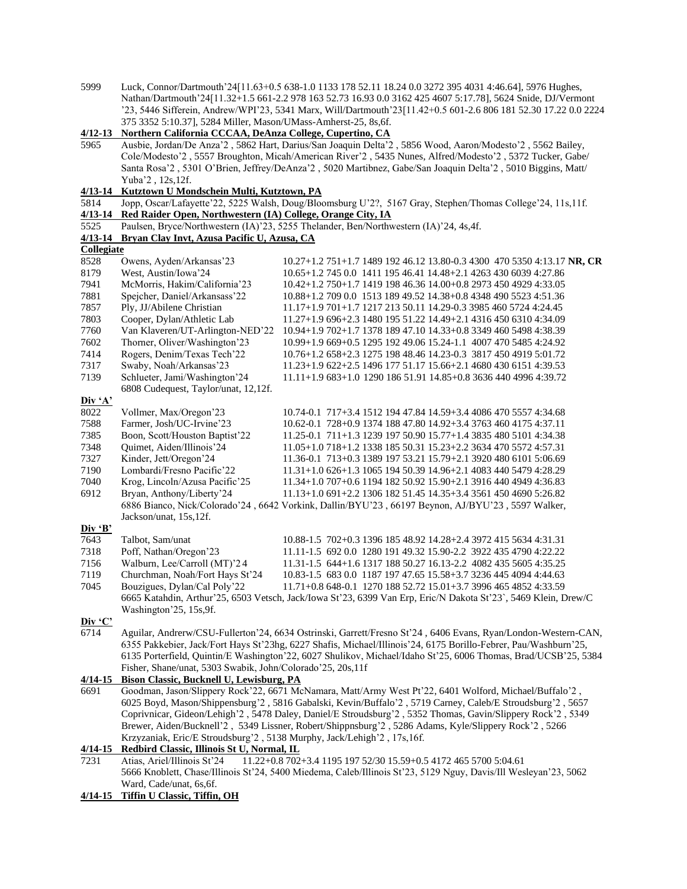- 5999 Luck, Connor/Dartmouth'24[11.63+0.5 638-1.0 1133 178 52.11 18.24 0.0 3272 395 4031 4:46.64], 5976 Hughes, Nathan/Dartmouth'24[11.32+1.5 661-2.2 978 163 52.73 16.93 0.0 3162 425 4607 5:17.78], 5624 Snide, DJ/Vermont '23, 5446 Sifferein, Andrew/WPI'23, 5341 Marx, Will/Dartmouth'23[11.42+0.5 601-2.6 806 181 52.30 17.22 0.0 2224 375 3352 5:10.37], 5284 Miller, Mason/UMass-Amherst-25, 8s,6f. **4/12-13 Northern California CCCAA, DeAnza College, Cupertino, CA** 5965 Ausbie, Jordan/De Anza'2 , 5862 Hart, Darius/San Joaquin Delta'2 , 5856 Wood, Aaron/Modesto'2 , 5562 Bailey, Cole/Modesto'2 , 5557 Broughton, Micah/American River'2 , 5435 Nunes, Alfred/Modesto'2 , 5372 Tucker, Gabe/ Santa Rosa'2 , 5301 O'Brien, Jeffrey/DeAnza'2 , 5020 Martibnez, Gabe/San Joaquin Delta'2 , 5010 Biggins, Matt/ Yuba'2 , 12s,12f. **4/13-14 Kutztown U Mondschein Multi, Kutztown, PA** 5814 Jopp, Oscar/Lafayette'22, 5225 Walsh, Doug/Bloomsburg U'2?, 5167 Gray, Stephen/Thomas College'24, 11s,11f. **4/13-14 Red Raider Open, Northwestern (IA) College, Orange City, IA** 5525 Paulsen, Bryce/Northwestern (IA)'23, 5255 Thelander, Ben/Northwestern (IA)'24, 4s,4f.<br>4/13-14 Bryan Clay Invt, Azusa Pacific U, Azusa, CA **4/13-14 Bryan Clay Invt, Azusa Pacific U, Azusa, CA Collegiate** 8528 Owens, Ayden/Arkansas'23 10.27+1.2 751+1.7 1489 192 46.12 13.80-0.3 4300 470 5350 4:13.17 **NR, CR** 8179 West, Austin/Iowa'24 10.65+1.2 745 0.0 1411 195 46.41 14.48+2.1 4263 430 6039 4:27.86 7941 McMorris, Hakim/California'23 10.42+1.2 750+1.7 1419 198 46.36 14.00+0.8 2973 450 4929 4:33.05 7881 Spejcher, Daniel/Arkansass'22 10.88+1.2 709 0.0 1513 189 49.52 14.38+0.8 4348 490 5523 4:51.36 7857 Ply, JJ/Abilene Christian 11.17+1.9 701+1.7 1217 213 50.11 14.29-0.3 3985 460 5724 4:24.45 7803 Cooper, Dylan/Athletic Lab 11.27+1.9 696+2.3 1480 195 51.22 14.49+2.1 4316 450 6310 4:34.09 7760 Van Klaveren/UT-Arlington-NED'22 10.94+1.9 702+1.7 1378 189 47.10 14.33+0.8 3349 460 5498 4:38.39 7602 Thorner, Oliver/Washington'23 10.99+1.9 669+0.5 1295 192 49.06 15.24-1.1 4007 470 5485 4:24.92 7414 Rogers, Denim/Texas Tech'22 10.76+1.2 658+2.3 1275 198 48.46 14.23-0.3 3817 450 4919 5:01.72<br>7317 Swaby, Noah/Arkansas'23 11.23+1.9 622+2.5 1496 177 51.17 15.66+2.1 4680 430 6151 4:39.53 11.23+1.9 622+2.5 1496 177 51.17 15.66+2.1 4680 430 6151 4:39.53 7139 Schlueter, Jami/Washington'24 11.11+1.9 683+1.0 1290 186 51.91 14.85+0.8 3636 440 4996 4:39.72 6808 Cudequest, Taylor/unat, 12,12f. **Div 'A'** 8022 Vollmer, Max/Oregon'23 10.74-0.1 717+3.4 1512 194 47.84 14.59+3.4 4086 470 5557 4:34.68 7588 Farmer, Josh/UC-Irvine'23 10.62-0.1 728+0.9 1374 188 47.80 14.92+3.4 3763 460 4175 4:37.11 7385 Boon, Scott/Houston Baptist'22 11.25-0.1 711+1.3 1239 197 50.90 15.77+1.4 3835 480 5101 4:34.38 7348 Quimet, Aiden/Illinois'24 11.05+1.0 718+1.2 1338 185 50.31 15.23+2.2 3634 470 5572 4:57.31 7327 Kinder, Jett/Oregon'24 11.36-0.1 713+0.3 1389 197 53.21 15.79+2.1 3920 480 6101 5:06.69 7190 Lombardi/Fresno Pacific'22 11.31+1.0 626+1.3 1065 194 50.39 14.96+2.1 4083 440 5479 4:28.29 7040 Krog, Lincoln/Azusa Pacific'25 11.34+1.0 707+0.6 1194 182 50.92 15.90+2.1 3916 440 4949 4:36.83 6912 Bryan, Anthony/Liberty'24 11.13+1.0 691+2.2 1306 182 51.45 14.35+3.4 3561 450 4690 5:26.82 6886 Bianco, Nick/Colorado'24 , 6642 Vorkink, Dallin/BYU'23 , 66197 Beynon, AJ/BYU'23 , 5597 Walker, Jackson/unat, 15s,12f. **Div 'B'** 7643 Talbot, Sam/unat 10.88-1.5 702+0.3 1396 185 48.92 14.28+2.4 3972 415 5634 4:31.31 7318 Poff, Nathan/Oregon'23 11.11-1.5 692 0.0 1280 191 49.32 15.90-2.2 3922 435 4790 4:22.22 7156 Walburn, Lee/Carroll (MT)'2 4 11.31-1.5 644+1.6 1317 188 50.27 16.13-2.2 4082 435 5605 4:35.25 7119 Churchman, Noah/Fort Hays St'24 10.83-1.5 683 0.0 1187 197 47.65 15.58+3.7 3236 445 4094 4:44.63 7045 Bouzigues, Dylan/Cal Poly'22 11.71+0.8 648-0.1 1270 188 52.72 15.01+3.7 3996 465 4852 4:33.59 6665 Katahdin, Arthur'25, 6503 Vetsch, Jack/Iowa St'23, 6399 Van Erp, Eric/N Dakota St'23`, 5469 Klein, Drew/C Washington'25, 15s,9f. **Div 'C'** 6714 Aguilar, Andrerw/CSU-Fullerton'24, 6634 Ostrinski, Garrett/Fresno St'24 , 6406 Evans, Ryan/London-Western-CAN, 6355 Pakkebier, Jack/Fort Hays St'23hg, 6227 Shafis, Michael/Illinois'24, 6175 Borillo-Febrer, Pau/Washburn'25, 6135 Porterfield, Quintin/E Washington'22, 6027 Shulikov, Michael/Idaho St'25, 6006 Thomas, Brad/UCSB'25, 5384 Fisher, Shane/unat, 5303 Swabik, John/Colorado'25, 20s,11f **4/14-15 Bison Classic, Bucknell U, Lewisburg, PA** 6691 Goodman, Jason/Slippery Rock'22, 6671 McNamara, Matt/Army West Pt'22, 6401 Wolford, Michael/Buffalo'2 , 6025 Boyd, Mason/Shippensburg'2 , 5816 Gabalski, Kevin/Buffalo'2 , 5719 Carney, Caleb/E Stroudsburg'2 , 5657 Coprivnicar, Gideon/Lehigh'2 , 5478 Daley, Daniel/E Stroudsburg'2 , 5352 Thomas, Gavin/Slippery Rock'2 , 5349 Brewer, Aiden/Bucknell'2 , 5349 Lissner, Robert/Shippnsburg'2 , 5286 Adams, Kyle/Slippery Rock'2 , 5266 Krzyzaniak, Eric/E Stroudsburg'2 , 5138 Murphy, Jack/Lehigh'2 , 17s,16f. **4/14-15 Redbird Classic, Illinois St U, Normal, IL** 7231 Atias, Ariel/Illinois St'24 11.22+0.8 702+3.4 1195 197 52/30 15.59+0.5 4172 465 5700 5:04.61 5666 Knoblett, Chase/Illinois St'24, 5400 Miedema, Caleb/Illinois St'23, 5129 Nguy, Davis/Ill Wesleyan'23, 5062
- Ward, Cade/unat, 6s,6f. **4/14-15 Tiffin U Classic, Tiffin, OH**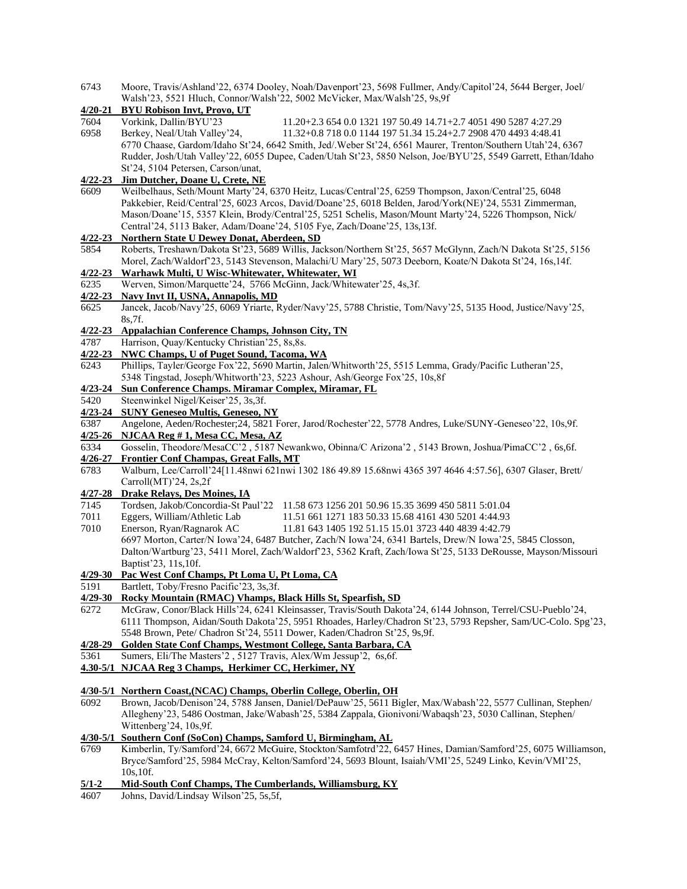| 6743         | Moore, Travis/Ashland'22, 6374 Dooley, Noah/Davenport'23, 5698 Fullmer, Andy/Capitol'24, 5644 Berger, Joel/   |
|--------------|---------------------------------------------------------------------------------------------------------------|
|              | Walsh'23, 5521 Hluch, Connor/Walsh'22, 5002 McVicker, Max/Walsh'25, 9s,9f                                     |
| $4/20 - 21$  | <b>BYU Robison Invt, Provo, UT</b>                                                                            |
| 7604         | Vorkink, Dallin/BYU'23<br>11.20+2.3 654 0.0 1321 197 50.49 14.71+2.7 4051 490 5287 4:27.29                    |
| 6958         | Berkey, Neal/Utah Valley'24,<br>11.32+0.8 718 0.0 1144 197 51.34 15.24+2.7 2908 470 4493 4:48.41              |
|              | 6770 Chaase, Gardom/Idaho St'24, 6642 Smith, Jed/.Weber St'24, 6561 Maurer, Trenton/Southern Utah'24, 6367    |
|              | Rudder, Josh/Utah Valley'22, 6055 Dupee, Caden/Utah St'23, 5850 Nelson, Joe/BYU'25, 5549 Garrett, Ethan/Idaho |
|              | St'24, 5104 Petersen, Carson/unat,                                                                            |
| $4/22 - 23$  | Jim Dutcher, Doane U, Crete, NE                                                                               |
| 6609         | Weilbelhaus, Seth/Mount Marty'24, 6370 Heitz, Lucas/Central'25, 6259 Thompson, Jaxon/Central'25, 6048         |
|              | Pakkebier, Reid/Central'25, 6023 Arcos, David/Doane'25, 6018 Belden, Jarod/York(NE)'24, 5531 Zimmerman,       |
|              | Mason/Doane'15, 5357 Klein, Brody/Central'25, 5251 Schelis, Mason/Mount Marty'24, 5226 Thompson, Nick/        |
|              | Central'24, 5113 Baker, Adam/Doane'24, 5105 Fye, Zach/Doane'25, 13s, 13f.                                     |
| $4/22 - 23$  | Northern State U Dewey Donat, Aberdeen, SD                                                                    |
| 5854         | Roberts, Treshawn/Dakota St'23, 5689 Willis, Jackson/Northern St'25, 5657 McGlynn, Zach/N Dakota St'25, 5156  |
|              | Morel, Zach/Waldorf'23, 5143 Stevenson, Malachi/U Mary'25, 5073 Deeborn, Koate/N Dakota St'24, 16s, 14f.      |
| $4/22 - 23$  | Warhawk Multi, U Wisc-Whitewater, Whitewater, WI                                                              |
| 6235         | Werven, Simon/Marquette'24, 5766 McGinn, Jack/Whitewater'25, 4s,3f.                                           |
| $4/22 - 23$  | <b>Navy Invt II, USNA, Annapolis, MD</b>                                                                      |
| 6625         | Jancek, Jacob/Navy'25, 6069 Yriarte, Ryder/Navy'25, 5788 Christie, Tom/Navy'25, 5135 Hood, Justice/Navy'25,   |
|              | 8s,7f.                                                                                                        |
| $4/22 - 23$  | <b>Appalachian Conference Champs, Johnson City, TN</b>                                                        |
| 4787         | Harrison, Quay/Kentucky Christian'25, 8s,8s.                                                                  |
| $4/22 - 23$  | <b>NWC Champs, U of Puget Sound, Tacoma, WA</b>                                                               |
| 6243         | Phillips, Tayler/George Fox'22, 5690 Martin, Jalen/Whitworth'25, 5515 Lemma, Grady/Pacific Lutheran'25,       |
|              | 5348 Tingstad, Joseph/Whitworth'23, 5223 Ashour, Ash/George Fox'25, 10s, 8f                                   |
| $4/23 - 24$  | Sun Conference Champs. Miramar Complex, Miramar, FL                                                           |
| 5420         | Steenwinkel Nigel/Keiser'25, 3s,3f.                                                                           |
| $4/23 - 24$  | <b>SUNY Geneseo Multis, Geneseo, NY</b>                                                                       |
| 6387         | Angelone, Aeden/Rochester;24, 5821 Forer, Jarod/Rochester'22, 5778 Andres, Luke/SUNY-Geneseo'22, 10s,9f.      |
| $4/25 - 26$  | NJCAA Reg #1, Mesa CC, Mesa, AZ                                                                               |
| 6334         | Gosselin, Theodore/MesaCC'2, 5187 Newankwo, Obinna/C Arizona'2, 5143 Brown, Joshua/PimaCC'2, 6s,6f.           |
| $4/26 - 27$  | <b>Frontier Conf Champas, Great Falls, MT</b>                                                                 |
| 6783         | Walburn, Lee/Carroll'24[11.48nwi 621nwi 1302 186 49.89 15.68nwi 4365 397 4646 4:57.56], 6307 Glaser, Brett/   |
|              | Carroll $(MT)$ '24, 2s,2f                                                                                     |
| $4/27 - 28$  | Drake Relays, Des Moines, IA                                                                                  |
| 7145         | Tordsen, Jakob/Concordia-St Paul'22 11.58 673 1256 201 50.96 15.35 3699 450 5811 5:01.04                      |
| 7011         | Eggers, William/Athletic Lab<br>11.51 661 1271 183 50.33 15.68 4161 430 5201 4:44.93                          |
| 7010         | Enerson, Ryan/Ragnarok AC<br>11.81 643 1405 192 51.15 15.01 3723 440 4839 4:42.79                             |
|              | 6697 Morton, Carter/N Iowa'24, 6487 Butcher, Zach/N Iowa'24, 6341 Bartels, Drew/N Iowa'25, 5845 Closson,      |
|              | Dalton/Wartburg'23, 5411 Morel, Zach/Waldorf'23, 5362 Kraft, Zach/Iowa St'25, 5133 DeRousse, Mayson/Missouri  |
|              | Baptist'23, 11s, 10f.                                                                                         |
|              | 4/29-30 Pac West Conf Champs, Pt Loma U, Pt Loma, CA                                                          |
| 5191         | Bartlett, Toby/Fresno Pacific'23, 3s,3f.                                                                      |
| 4/29-30      | Rocky Mountain (RMAC) Vhamps, Black Hills St, Spearfish, SD                                                   |
| 6272         | McGraw, Conor/Black Hills'24, 6241 Kleinsasser, Travis/South Dakota'24, 6144 Johnson, Terrel/CSU-Pueblo'24,   |
|              | 6111 Thompson, Aidan/South Dakota'25, 5951 Rhoades, Harley/Chadron St'23, 5793 Repsher, Sam/UC-Colo. Spg'23,  |
|              | 5548 Brown, Pete/ Chadron St'24, 5511 Dower, Kaden/Chadron St'25, 9s,9f.                                      |
| $4/28 - 29$  | Golden State Conf Champs, Westmont College, Santa Barbara, CA                                                 |
| 5361         | Sumers, Eli/The Masters'2, 5127 Travis, Alex/Wm Jessup'2, 6s, 6f.                                             |
| $4.30 - 5/1$ | NJCAA Reg 3 Champs, Herkimer CC, Herkimer, NY                                                                 |
|              |                                                                                                               |
|              | 4/30-5/1 Northern Coast, (NCAC) Champs, Oberlin College, Oberlin, OH                                          |
| 6092         | Brown, Jacob/Denison'24, 5788 Jansen, Daniel/DePauw'25, 5611 Bigler, Max/Wabash'22, 5577 Cullinan, Stephen/   |
|              | Allegheny'23, 5486 Oostman, Jake/Wabash'25, 5384 Zappala, Gionivoni/Wabaqsh'23, 5030 Callinan, Stephen/       |
|              | Wittenberg'24, 10s,9f.                                                                                        |
|              | 4/30-5/1 Southern Conf (SoCon) Champs, Samford U, Birmingham, AL                                              |
| 6769         | Kimberlin, Ty/Samford'24, 6672 McGuire, Stockton/Samfotrd'22, 6457 Hines, Damian/Samford'25, 6075 Williamson, |
|              | Bryce/Samford'25, 5984 McCray, Kelton/Samford'24, 5693 Blount, Isaiah/VMI'25, 5249 Linko, Kevin/VMI'25,       |
|              | 10s, 10f.                                                                                                     |
| $5/1 - 2$    | Mid-South Conf Champs, The Cumberlands, Williamsburg, KY                                                      |
| 4607         | Johns, David/Lindsay Wilson'25, 5s,5f,                                                                        |
|              |                                                                                                               |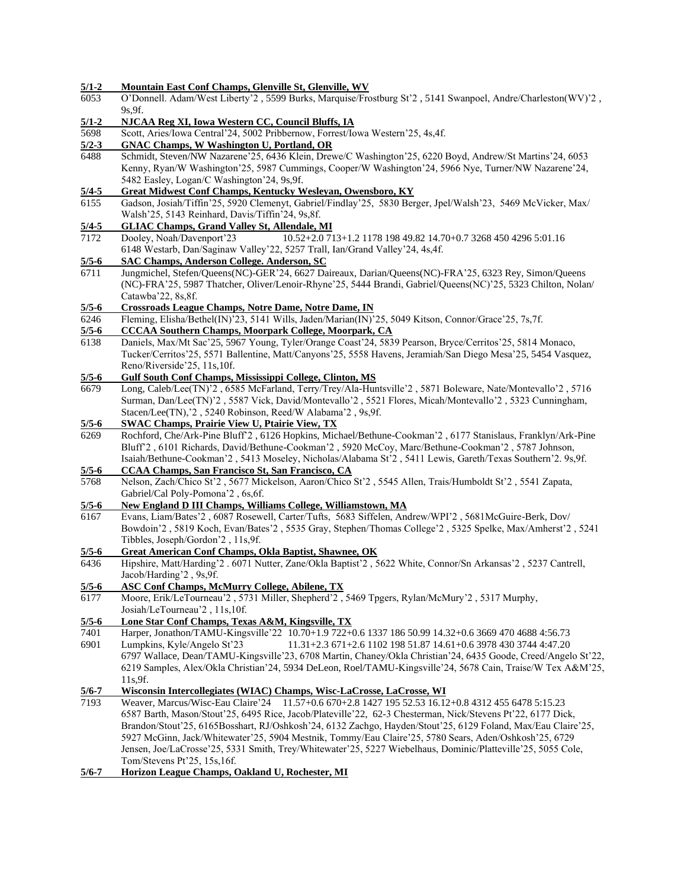| $5/1 - 2$            | Mountain East Conf Champs, Glenville St, Glenville, WV                                                                  |
|----------------------|-------------------------------------------------------------------------------------------------------------------------|
| 6053                 | O'Donnell. Adam/West Liberty'2, 5599 Burks, Marquise/Frostburg St'2, 5141 Swanpoel, Andre/Charleston(WV)'2,             |
|                      | 9s, 9f.                                                                                                                 |
|                      |                                                                                                                         |
| $\frac{5}{1-2}$      | NJCAA Reg XI, Iowa Western CC, Council Bluffs, IA                                                                       |
| 5698                 | Scott, Aries/Iowa Central'24, 5002 Pribbernow, Forrest/Iowa Western'25, 4s, 4f.                                         |
| $5/2 - 3$            | <b>GNAC Champs, W Washington U, Portland, OR</b>                                                                        |
| 6488                 | Schmidt, Steven/NW Nazarene'25, 6436 Klein, Drewe/C Washington'25, 6220 Boyd, Andrew/St Martins'24, 6053                |
|                      | Kenny, Ryan/W Washington'25, 5987 Cummings, Cooper/W Washington'24, 5966 Nye, Turner/NW Nazarene'24,                    |
|                      | 5482 Easley, Logan/C Washington'24, 9s,9f.                                                                              |
| $5/4 - 5$            | <b>Great Midwest Conf Champs, Kentucky Wesleyan, Owensboro, KY</b>                                                      |
| 6155                 | Gadson, Josiah/Tiffin'25, 5920 Clemenyt, Gabriel/Findlay'25, 5830 Berger, Jpel/Walsh'23, 5469 McVicker, Max/            |
|                      | Walsh'25, 5143 Reinhard, Davis/Tiffin'24, 9s,8f.                                                                        |
|                      |                                                                                                                         |
| $\frac{5/4-5}{7172}$ | <b>GLIAC Champs, Grand Valley St, Allendale, MI</b><br>10.52+2.0 713+1.2 1178 198 49.82 14.70+0.7 3268 450 4296 5:01.16 |
|                      | Dooley, Noah/Davenport'23                                                                                               |
|                      | 6148 Westarb, Dan/Saginaw Valley'22, 5257 Trall, Ian/Grand Valley'24, 4s, 4f.                                           |
| $5/5-6$              | <b>SAC Champs, Anderson College. Anderson, SC</b>                                                                       |
| 6711                 | Jungmichel, Stefen/Queens(NC)-GER'24, 6627 Daireaux, Darian/Queens(NC)-FRA'25, 6323 Rey, Simon/Queens                   |
|                      | (NC)-FRA'25, 5987 Thatcher, Oliver/Lenoir-Rhyne'25, 5444 Brandi, Gabriel/Queens(NC)'25, 5323 Chilton, Nolan/            |
|                      | Catawba'22, 8s, 8f.                                                                                                     |
| $5/5 - 6$            | <b>Crossroads League Champs, Notre Dame, Notre Dame, IN</b>                                                             |
| 6246                 | Fleming, Elisha/Bethel(IN)'23, 5141 Wills, Jaden/Marian(IN)'25, 5049 Kitson, Connor/Grace'25, 7s,7f.                    |
| $5/5 - 6$            | <b>CCCAA Southern Champs, Moorpark College, Moorpark, CA</b>                                                            |
| 6138                 | Daniels, Max/Mt Sac'25, 5967 Young, Tyler/Orange Coast'24, 5839 Pearson, Bryce/Cerritos'25, 5814 Monaco,                |
|                      | Tucker/Cerritos'25, 5571 Ballentine, Matt/Canyons'25, 5558 Havens, Jeramiah/San Diego Mesa'25, 5454 Vasquez,            |
|                      |                                                                                                                         |
|                      | Reno/Riverside'25, 11s, 10f.                                                                                            |
| $5/5 - 6$            | <b>Gulf South Conf Champs, Mississippi College, Clinton, MS</b>                                                         |
| 6679                 | Long, Caleb/Lee(TN)'2, 6585 McFarland, Terry/Trey/Ala-Huntsville'2, 5871 Boleware, Nate/Montevallo'2, 5716              |
|                      | Surman, Dan/Lee(TN)'2, 5587 Vick, David/Montevallo'2, 5521 Flores, Micah/Montevallo'2, 5323 Cunningham,                 |
|                      | Stacen/Lee(TN), '2, 5240 Robinson, Reed/W Alabama'2, 9s, 9f.                                                            |
| $5/5-6$              | <b>SWAC Champs, Prairie View U, Ptairie View, TX</b>                                                                    |
| 6269                 | Rochford, Che/Ark-Pine Bluff'2, 6126 Hopkins, Michael/Bethune-Cookman'2, 6177 Stanislaus, Franklyn/Ark-Pine             |
|                      | Bluff'2, 6101 Richards, David/Bethune-Cookman'2, 5920 McCoy, Marc/Bethune-Cookman'2, 5787 Johnson,                      |
|                      | Isaiah/Bethune-Cookman'2, 5413 Moseley, Nicholas/Alabama St'2, 5411 Lewis, Gareth/Texas Southern'2. 9s,9f.              |
| $5/5-6$              | <b>CCAA Champs, San Francisco St, San Francisco, CA</b>                                                                 |
| 5768                 | Nelson, Zach/Chico St'2, 5677 Mickelson, Aaron/Chico St'2, 5545 Allen, Trais/Humboldt St'2, 5541 Zapata,                |
|                      | Gabriel/Cal Poly-Pomona'2, 6s, 6f.                                                                                      |
| $5/5-6$              | New England D III Champs, Williams College, Williamstown, MA                                                            |
|                      |                                                                                                                         |
| 6167                 | Evans, Liam/Bates'2, 6087 Rosewell, Carter/Tufts, 5683 Siffelen, Andrew/WPI'2, 5681McGuire-Berk, Dov/                   |
|                      | Bowdoin'2, 5819 Koch, Evan/Bates'2, 5535 Gray, Stephen/Thomas College'2, 5325 Spelke, Max/Amherst'2, 5241               |
|                      | Tibbles, Joseph/Gordon'2, 11s,9f.                                                                                       |
| $5/5-6$              | Great American Conf Champs, Okla Baptist, Shawnee, OK                                                                   |
| 6436                 | Hipshire, Matt/Harding'2 . 6071 Nutter, Zane/Okla Baptist'2, 5622 White, Connor/Sn Arkansas'2, 5237 Cantrell,           |
|                      | Jacob/Harding'2, 9s,9f.                                                                                                 |
| $5/5 - 6$            | <b>ASC Conf Champs, McMurry College, Abilene, TX</b>                                                                    |
| 6177                 | Moore, Erik/LeTourneau'2, 5731 Miller, Shepherd'2, 5469 Tpgers, Rylan/McMury'2, 5317 Murphy,                            |
|                      | Josiah/LeTourneau'2, 11s, 10f.                                                                                          |
| $5/5 - 6$            | Lone Star Conf Champs, Texas A&M, Kingsville, TX                                                                        |
| 7401                 | Harper, Jonathon/TAMU-Kingsville'22 10.70+1.9 722+0.6 1337 186 50.99 14.32+0.6 3669 470 4688 4:56.73                    |
| 6901                 | Lumpkins, Kyle/Angelo St'23<br>11.31+2.3 671+2.6 1102 198 51.87 14.61+0.6 3978 430 3744 4:47.20                         |
|                      | 6797 Wallace, Dean/TAMU-Kingsville'23, 6708 Martin, Chaney/Okla Christian'24, 6435 Goode, Creed/Angelo St'22,           |
|                      |                                                                                                                         |
|                      | 6219 Samples, Alex/Okla Christian'24, 5934 DeLeon, Roel/TAMU-Kingsville'24, 5678 Cain, Traise/W Tex A&M'25,             |
|                      | 11s,9f.                                                                                                                 |
| $5/6 - 7$            | Wisconsin Intercollegiates (WIAC) Champs, Wisc-LaCrosse, LaCrosse, WI                                                   |
| 7193                 | Weaver, Marcus/Wisc-Eau Claire'24 11.57+0.6 670+2.8 1427 195 52.53 16.12+0.8 4312 455 6478 5:15.23                      |
|                      | 6587 Barth, Mason/Stout'25, 6495 Rice, Jacob/Plateville'22, 62-3 Chesterman, Nick/Stevens Pt'22, 6177 Dick,             |
|                      | Brandon/Stout'25, 6165Bosshart, RJ/Oshkosh'24, 6132 Zachgo, Hayden/Stout'25, 6129 Foland, Max/Eau Claire'25,            |
|                      | 5927 McGinn, Jack/Whitewater'25, 5904 Mestnik, Tommy/Eau Claire'25, 5780 Sears, Aden/Oshkosh'25, 6729                   |
|                      | Jensen, Joe/LaCrosse'25, 5331 Smith, Trey/Whitewater'25, 5227 Wiebelhaus, Dominic/Platteville'25, 5055 Cole,            |
|                      | Tom/Stevens Pt'25, 15s, 16f.                                                                                            |
| $5/6 - 7$            | Horizon League Champs, Oakland U, Rochester, MI                                                                         |
|                      |                                                                                                                         |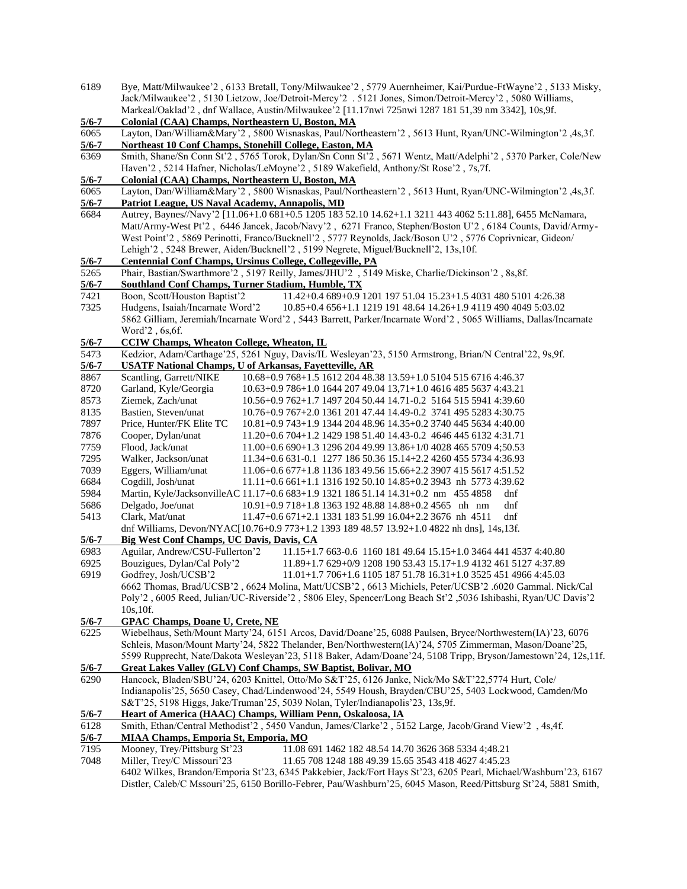| 6189             | Bye, Matt/Milwaukee'2, 6133 Bretall, Tony/Milwaukee'2, 5779 Auernheimer, Kai/Purdue-FtWayne'2, 5133 Misky,      |
|------------------|-----------------------------------------------------------------------------------------------------------------|
|                  | Jack/Milwaukee'2, 5130 Lietzow, Joe/Detroit-Mercy'2. 5121 Jones, Simon/Detroit-Mercy'2, 5080 Williams,          |
|                  | Markeal/Oaklad'2, dnf Wallace, Austin/Milwaukee'2 [11.17nwi 725nwi 1287 181 51,39 nm 3342], 10s,9f.             |
| $5/6 - 7$        | Colonial (CAA) Champs, Northeastern U, Boston, MA                                                               |
| 6065             | Layton, Dan/William&Mary'2, 5800 Wisnaskas, Paul/Northeastern'2, 5613 Hunt, Ryan/UNC-Wilmington'2, 4s,3f.       |
| $5/6 - 7$        | Northeast 10 Conf Champs, Stonehill College, Easton, MA                                                         |
| 6369             | Smith, Shane/Sn Conn St'2, 5765 Torok, Dylan/Sn Conn St'2, 5671 Wentz, Matt/Adelphi'2, 5370 Parker, Cole/New    |
|                  | Haven'2, 5214 Hafner, Nicholas/LeMoyne'2, 5189 Wakefield, Anthony/St Rose'2, 7s,7f.                             |
| $5/6 - 7$        | Colonial (CAA) Champs, Northeastern U, Boston, MA                                                               |
| 6065             | Layton, Dan/William&Mary'2, 5800 Wisnaskas, Paul/Northeastern'2, 5613 Hunt, Ryan/UNC-Wilmington'2,4s,3f.        |
| $5/6 - 7$        | Patriot League, US Naval Academy, Annapolis, MD                                                                 |
| 6684             | Autrey, Baynes//Navy'2 [11.06+1.0 681+0.5 1205 183 52.10 14.62+1.1 3211 443 4062 5:11.88], 6455 McNamara,       |
|                  | Matt/Army-West Pt'2, 6446 Jancek, Jacob/Navy'2, 6271 Franco, Stephen/Boston U'2, 6184 Counts, David/Army-       |
|                  | West Point'2, 5869 Perinotti, Franco/Bucknell'2, 5777 Reynolds, Jack/Boson U'2, 5776 Coprivnicar, Gideon/       |
|                  |                                                                                                                 |
|                  | Lehigh'2, 5248 Brewer, Aiden/Bucknell'2, 5199 Negrete, Miguel/Bucknell'2, 13s,10f.                              |
| $5/6 - 7$        | <b>Centennial Conf Champs, Ursinus College, Collegeville, PA</b>                                                |
| 5265             | Phair, Bastian/Swarthmore'2, 5197 Reilly, James/JHU'2, 5149 Miske, Charlie/Dickinson'2, 8s, 8f.                 |
| $5/6 - 7$        | Southland Conf Champs, Turner Stadium, Humble, TX                                                               |
| 7421             | Boon, Scott/Houston Baptist'2<br>11.42+0.4 689+0.9 1201 197 51.04 15.23+1.5 4031 480 5101 4:26.38               |
| 7325             | Hudgens, Isaiah/Incarnate Word'2<br>10.85+0.4 656+1.1 1219 191 48.64 14.26+1.9 4119 490 4049 5:03.02            |
|                  | 5862 Gilliam, Jeremiah/Incarnate Word'2, 5443 Barrett, Parker/Incarnate Word'2, 5065 Williams, Dallas/Incarnate |
|                  | Word'2, 6s, 6f.                                                                                                 |
| $5/6 - 7$        | <b>CCIW Champs, Wheaton College, Wheaton, IL</b>                                                                |
| 5473             | Kedzior, Adam/Carthage'25, 5261 Nguy, Davis/IL Wesleyan'23, 5150 Armstrong, Brian/N Central'22, 9s,9f.          |
| $5/6 - 7$        | <b>USATF National Champs, U of Arkansas, Fayetteville, AR</b>                                                   |
| 8867             | Scantling, Garrett/NIKE<br>10.68+0.9 768+1.5 1612 204 48.38 13.59+1.0 5104 515 6716 4:46.37                     |
| 8720             | Garland, Kyle/Georgia<br>10.63+0.9 786+1.0 1644 207 49.04 13,71+1.0 4616 485 5637 4:43.21                       |
| 8573             | Ziemek, Zach/unat<br>10.56+0.9 762+1.7 1497 204 50.44 14.71-0.2 5164 515 5941 4:39.60                           |
| 8135             | Bastien, Steven/unat<br>10.76+0.9 767+2.0 1361 201 47.44 14.49-0.2 3741 495 5283 4:30.75                        |
| 7897             | Price, Hunter/FK Elite TC<br>10.81+0.9 743+1.9 1344 204 48.96 14.35+0.2 3740 445 5634 4:40.00                   |
| 7876             | Cooper, Dylan/unat<br>11.20+0.6 704+1.2 1429 198 51.40 14.43-0.2 4646 445 6132 4:31.71                          |
| 7759             | Flood, Jack/unat<br>11.00+0.6 690+1.3 1296 204 49.99 13.86+1/0 4028 465 5709 4;50.53                            |
| 7295             | Walker, Jackson/unat<br>11.34+0.6 631-0.1 1277 186 50.36 15.14+2.2 4260 455 5734 4:36.93                        |
| 7039             | Eggers, William/unat<br>11.06+0.6 677+1.8 1136 183 49.56 15.66+2.2 3907 415 5617 4:51.52                        |
| 6684             | Cogdill, Josh/unat<br>11.11+0.6 661+1.1 1316 192 50.10 14.85+0.2 3943 nh 5773 4:39.62                           |
| 5984             | Martin, Kyle/JacksonvilleAC 11.17+0.6 683+1.9 1321 186 51.14 14.31+0.2 nm 455 4858<br>dnf                       |
| 5686             | dnf<br>Delgado, Joe/unat<br>10.91+0.9 718+1.8 1363 192 48.88 14.88+0.2 4565 nh nm                               |
| 5413             | Clark, Mat/unat<br>dnf<br>11.47+0.6 671+2.1 1331 183 51.99 16.04+2.2 3676 nh 4511                               |
|                  | dnf Williams, Devon/NYAC[10.76+0.9 773+1.2 1393 189 48.57 13.92+1.0 4822 nh dns], 14s,13f.                      |
| $5/6 - 7$        | <b>Big West Conf Champs, UC Davis, Davis, CA</b>                                                                |
| 6983             | Aguilar, Andrew/CSU-Fullerton'2 11.15+1.7 663-0.6 1160 181 49.64 15.15+1.0 3464 441 4537 4:40.80                |
| 6925             | Bouzigues, Dylan/Cal Poly'2<br>11.89+1.7 629+0/9 1208 190 53.43 15.17+1.9 4132 461 5127 4:37.89                 |
| 6919             | Godfrey, Josh/UCSB'2<br>11.01+1.7 706+1.6 1105 187 51.78 16.31+1.0 3525 451 4966 4:45.03                        |
|                  | 6662 Thomas, Brad/UCSB'2, 6624 Molina, Matt/UCSB'2, 6613 Michiels, Peter/UCSB'2.6020 Gammal. Nick/Cal           |
|                  | Poly'2, 6005 Reed, Julian/UC-Riverside'2, 5806 Eley, Spencer/Long Beach St'2, 5036 Ishibashi, Ryan/UC Davis'2   |
|                  | 10s, 10f.                                                                                                       |
| $5/6 - 7$        | <b>GPAC Champs, Doane U, Crete, NE</b>                                                                          |
| 6225             | Wiebelhaus, Seth/Mount Marty'24, 6151 Arcos, David/Doane'25, 6088 Paulsen, Bryce/Northwestern(IA)'23, 6076      |
|                  | Schleis, Mason/Mount Marty'24, 5822 Thelander, Ben/Northwestern(IA)'24, 5705 Zimmerman, Mason/Doane'25,         |
|                  | 5599 Rupprecht, Nate/Dakota Wesleyan'23, 5118 Baker, Adam/Doane'24, 5108 Tripp, Bryson/Jamestown'24, 12s,11f.   |
| $\frac{5}{6}$ -7 | Great Lakes Valley (GLV) Conf Champs, SW Baptist, Bolivar, MO                                                   |
| 6290             | Hancock, Bladen/SBU'24, 6203 Knittel, Otto/Mo S&T'25, 6126 Janke, Nick/Mo S&T'22,5774 Hurt, Cole/               |
|                  | Indianapolis'25, 5650 Casey, Chad/Lindenwood'24, 5549 Housh, Brayden/CBU'25, 5403 Lockwood, Camden/Mo           |
|                  | S&T'25, 5198 Higgs, Jake/Truman'25, 5039 Nolan, Tyler/Indianapolis'23, 13s,9f.                                  |
| $5/6 - 7$        | Heart of America (HAAC) Champs, William Penn, Oskaloosa, IA                                                     |
| 6128             | Smith, Ethan/Central Methodist'2, 5450 Vandun, James/Clarke'2, 5152 Large, Jacob/Grand View'2, 4s,4f.           |
| $5/6 - 7$        | MIAA Champs, Emporia St, Emporia, MO                                                                            |
| 7195             | Mooney, Trey/Pittsburg St'23<br>11.08 691 1462 182 48.54 14.70 3626 368 5334 4;48.21                            |
| 7048             | Miller, Trey/C Missouri'23<br>11.65 708 1248 188 49.39 15.65 3543 418 4627 4:45.23                              |
|                  | 6402 Wilkes, Brandon/Emporia St'23, 6345 Pakkebier, Jack/Fort Hays St'23, 6205 Pearl, Michael/Washburn'23, 6167 |
|                  |                                                                                                                 |

Distler, Caleb/C Mssouri'25, 6150 Borillo-Febrer, Pau/Washburn'25, 6045 Mason, Reed/Pittsburg St'24, 5881 Smith,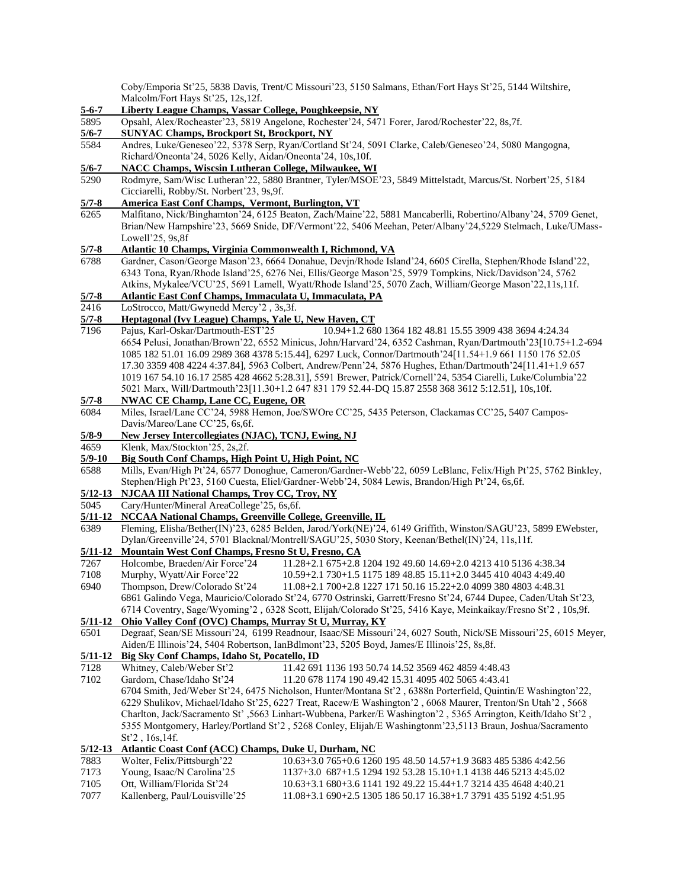Coby/Emporia St'25, 5838 Davis, Trent/C Missouri'23, 5150 Salmans, Ethan/Fort Hays St'25, 5144 Wiltshire, Malcolm/Fort Hays St'25, 12s,12f.

- **5-6-7 Liberty League Champs, Vassar College, Poughkeepsie, NY**
- 5895 Opsahl, Alex/Rocheaster'23, 5819 Angelone, Rochester'24, 5471 Forer, Jarod/Rochester'22, 8s,7f.
- **5/6-7 SUNYAC Champs, Brockport St, Brockport, NY**
- 5584 Andres, Luke/Geneseo'22, 5378 Serp, Ryan/Cortland St'24, 5091 Clarke, Caleb/Geneseo'24, 5080 Mangogna, Richard/Oneonta'24, 5026 Kelly, Aidan/Oneonta'24, 10s,10f.
- **5/6-7 NACC Champs, Wiscsin Lutheran College, Milwaukee, WI**
- 5290 Rodmyre, Sam/Wisc Lutheran'22, 5880 Brantner, Tyler/MSOE'23, 5849 Mittelstadt, Marcus/St. Norbert'25, 5184 Cicciarelli, Robby/St. Norbert'23, 9s,9f.
- **5/7-8 America East Conf Champs, Vermont, Burlington, VT**
- 6265 Malfitano, Nick/Binghamton'24, 6125 Beaton, Zach/Maine'22, 5881 Mancaberlli, Robertino/Albany'24, 5709 Genet, Brian/New Hampshire'23, 5669 Snide, DF/Vermont'22, 5406 Meehan, Peter/Albany'24,5229 Stelmach, Luke/UMass-Lowell'25, 9s,8f
- **5/7-8 Atlantic 10 Champs, Virginia Commonwealth I, Richmond, VA**
- 6788 Gardner, Cason/George Mason'23, 6664 Donahue, Devjn/Rhode Island'24, 6605 Cirella, Stephen/Rhode Island'22, 6343 Tona, Ryan/Rhode Island'25, 6276 Nei, Ellis/George Mason'25, 5979 Tompkins, Nick/Davidson'24, 5762 Atkins, Mykalee/VCU'25, 5691 Lamell, Wyatt/Rhode Island'25, 5070 Zach, William/George Mason'22,11s,11f.
- **5/7-8 Atlantic East Conf Champs, Immaculata U, Immaculata, PA**
- 2416 LoStrocco, Matt/Gwynedd Mercy'2 , 3s,3f.

#### **5/7-8 Heptagonal (Ivy League) Champs, Yale U, New Haven, CT**

- 7196 Pajus, Karl-Oskar/Dartmouth-EST'25 10.94+1.2 680 1364 182 48.81 15.55 3909 438 3694 4:24.34 6654 Pelusi, Jonathan/Brown'22, 6552 Minicus, John/Harvard'24, 6352 Cashman, Ryan/Dartmouth'23[10.75+1.2-694 1085 182 51.01 16.09 2989 368 4378 5:15.44], 6297 Luck, Connor/Dartmouth'24[11.54+1.9 661 1150 176 52.05 17.30 3359 408 4224 4:37.84], 5963 Colbert, Andrew/Penn'24, 5876 Hughes, Ethan/Dartmouth'24[11.41+1.9 657 1019 167 54.10 16.17 2585 428 4662 5:28.31], 5591 Brewer, Patrick/Cornell'24, 5354 Ciarelli, Luke/Columbia'22 5021 Marx, Will/Dartmouth'23[11.30+1.2 647 831 179 52.44-DQ 15.87 2558 368 3612 5:12.51], 10s,10f.
- **5/7-8 NWAC CE Champ, Lane CC, Eugene, OR**
- 6084 Miles, Israel/Lane CC'24, 5988 Hemon, Joe/SWOre CC'25, 5435 Peterson, Clackamas CC'25, 5407 Campos-Davis/Mareo/Lane CC'25, 6s,6f.
- **5/8-9 New Jersey Intercollegiates (NJAC), TCNJ, Ewing, NJ**
- 4659 Klenk, Max/Stockton'25, 2s,2f.
- **5/9-10 Big South Conf Champs, High Point U, High Point, NC**
- 6588 Mills, Evan/High Pt'24, 6577 Donoghue, Cameron/Gardner-Webb'22, 6059 LeBlanc, Felix/High Pt'25, 5762 Binkley, Stephen/High Pt'23, 5160 Cuesta, Eliel/Gardner-Webb'24, 5084 Lewis, Brandon/High Pt'24, 6s,6f.

## **5/12-13 NJCAA III National Champs, Troy CC, Troy, NY**

5045 Cary/Hunter/Mineral AreaCollege'25, 6s,6f.<br>5/11-12 NCCAA National Champs, Greenville Col

#### **5/11-12 NCCAA National Champs, Greenville College, Greenville, IL**

6389 Fleming, Elisha/Bether(IN)'23, 6285 Belden, Jarod/York(NE)'24, 6149 Griffith, Winston/SAGU'23, 5899 EWebster, Dylan/Greenville'24, 5701 Blacknal/Montrell/SAGU'25, 5030 Story, Keenan/Bethel(IN)'24, 11s,11f.

# **5/11-12 Mountain West Conf Champs, Fresno St U, Fresno, CA**

- 7267 Holcombe, Braeden/Air Force'24 11.28+2.1 675+2.8 1204 192 49.60 14.69+2.0 4213 410 5136 4:38.34
- 7108 Murphy, Wyatt/Air Force'22 10.59+2.1 730+1.5 1175 189 48.85 15.11+2.0 3445 410 4043 4:49.40
- 6940 Thompson, Drew/Colorado St'24 11.08+2.1 700+2.8 1227 171 50.16 15.22+2.0 4099 380 4803 4:48.31
- 6861 Galindo Vega, Mauricio/Colorado St'24, 6770 Ostrinski, Garrett/Fresno St'24, 6744 Dupee, Caden/Utah St'23,

# 6714 Coventry, Sage/Wyoming'2 , 6328 Scott, Elijah/Colorado St'25, 5416 Kaye, Meinkaikay/Fresno St'2 , 10s,9f.

# **5/11-12 Ohio Valley Conf (OVC) Champs, Murray St U, Murray, KY**

6501 Degraaf, Sean/SE Missouri'24, 6199 Readnour, Isaac/SE Missouri'24, 6027 South, Nick/SE Missouri'25, 6015 Meyer, Aiden/E Illinois'24, 5404 Robertson, IanBdlmont'23, 5205 Boyd, James/E Illinois'25, 8s,8f.

# **5/11-12 Big Sky Conf Champs, Idaho St, Pocatello, ID**

7128 Whitney, Caleb/Weber St'2 11.42 691 1136 193 50.74 14.52 3569 462 4859 4:48.43 7102 Gardom, Chase/Idaho St'24 11.20 678 1174 190 49.42 15.31 4095 402 5065 4:43.41 6704 Smith, Jed/Weber St'24, 6475 Nicholson, Hunter/Montana St'2 , 6388n Porterfield, Quintin/E Washington'22, 6229 Shulikov, Michael/Idaho St'25, 6227 Treat, Racew/E Washington'2 , 6068 Maurer, Trenton/Sn Utah'2 , 5668 Charlton, Jack/Sacramento St' ,5663 Linhart-Wubbena, Parker/E Washington'2 , 5365 Arrington, Keith/Idaho St'2 , 5355 Montgomery, Harley/Portland St'2 , 5268 Conley, Elijah/E Washingtonm'23,5113 Braun, Joshua/Sacramento St'2 , 16s,14f.

### **5/12-13 Atlantic Coast Conf (ACC) Champs, Duke U, Durham, NC**

| 7883 | Wolter, Felix/Pittsburgh'22    | $10.63+3.0765+0.6126019548.5014.57+1.9368348553864.42.56$        |
|------|--------------------------------|------------------------------------------------------------------|
| 7173 | Young, Isaac/N Carolina'25     | 1137+3.0 687+1.5 1294 192 53.28 15.10+1.1 4138 446 5213 4:45.02  |
| 7105 | Ott. William/Florida St'24     | 10.63+3.1 680+3.6 1141 192 49.22 15.44+1.7 3214 435 4648 4:40.21 |
| 7077 | Kallenberg, Paul/Louisville'25 | 11.08+3.1 690+2.5 1305 186 50.17 16.38+1.7 3791 435 5192 4:51.95 |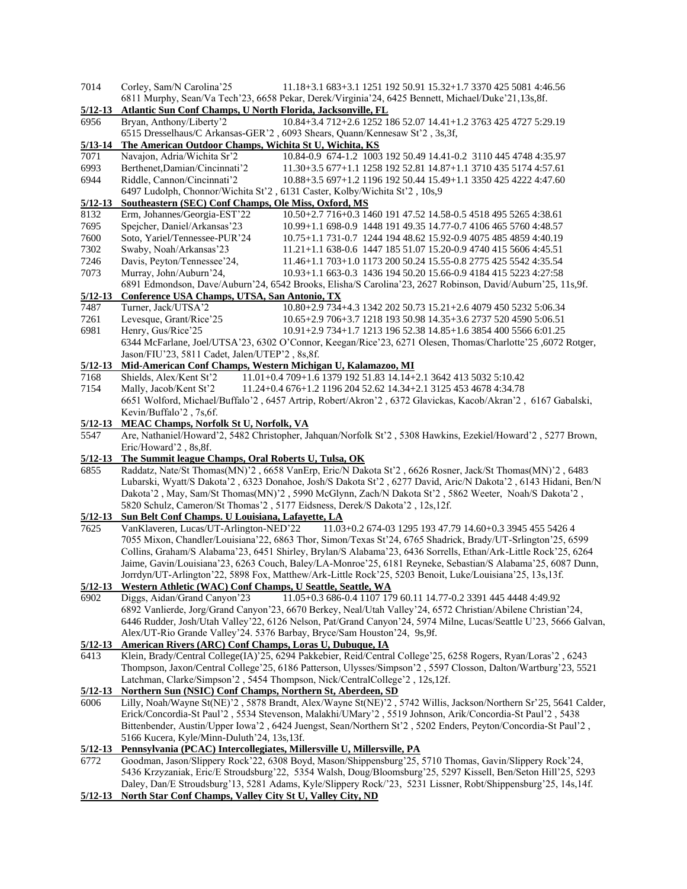| 7014                | Corley, Sam/N Carolina'25<br>11.18+3.1 683+3.1 1251 192 50.91 15.32+1.7 3370 425 5081 4:46.56                                                                                       |
|---------------------|-------------------------------------------------------------------------------------------------------------------------------------------------------------------------------------|
|                     | 6811 Murphy, Sean/Va Tech'23, 6658 Pekar, Derek/Virginia'24, 6425 Bennett, Michael/Duke'21,13s, 8f.                                                                                 |
| $5/12 - 13$         | Atlantic Sun Conf Champs, U North Florida, Jacksonville, FL                                                                                                                         |
| 6956                | 10.84+3.4 712+2.6 1252 186 52.07 14.41+1.2 3763 425 4727 5:29.19<br>Bryan, Anthony/Liberty'2                                                                                        |
|                     | 6515 Dresselhaus/C Arkansas-GER'2, 6093 Shears, Quann/Kennesaw St'2, 3s,3f,                                                                                                         |
| $5/13 - 14$         | The American Outdoor Champs, Wichita St U, Wichita, KS                                                                                                                              |
| 7071                | Navajon, Adria/Wichita Sr'2<br>10.84-0.9 674-1.2 1003 192 50.49 14.41-0.2 3110 445 4748 4:35.97                                                                                     |
| 6993                | Berthenet, Damian/Cincinnati'2<br>11.30+3.5 677+1.1 1258 192 52.81 14.87+1.1 3710 435 5174 4:57.61                                                                                  |
| 6944                | Riddle, Cannon/Cincinnati'2<br>10.88+3.5 697+1.2 1196 192 50.44 15.49+1.1 3350 425 4222 4:47.60                                                                                     |
| $5/12 - 13$         | 6497 Ludolph, Chonnor/Wichita St'2, 6131 Caster, Kolby/Wichita St'2, 10s,9<br>Southeastern (SEC) Conf Champs, Ole Miss, Oxford, MS                                                  |
| 8132                | Erm, Johannes/Georgia-EST'22<br>10.50+2.7 716+0.3 1460 191 47.52 14.58-0.5 4518 495 5265 4:38.61                                                                                    |
| 7695                | Spejcher, Daniel/Arkansas'23<br>10.99+1.1 698-0.9 1448 191 49.35 14.77-0.7 4106 465 5760 4:48.57                                                                                    |
| 7600                | Soto, Yariel/Tennessee-PUR'24<br>10.75+1.1 731-0.7 1244 194 48.62 15.92-0.9 4075 485 4859 4:40.19                                                                                   |
| 7302                | Swaby, Noah/Arkansas'23<br>11.21+1.1 638-0.6 1447 185 51.07 15.20-0.9 4740 415 5606 4:45.51                                                                                         |
| 7246                | Davis, Peyton/Tennessee'24,<br>11.46+1.1 703+1.0 1173 200 50.24 15.55-0.8 2775 425 5542 4:35.54                                                                                     |
| 7073                | Murray, John/Auburn'24,<br>10.93+1.1 663-0.3 1436 194 50.20 15.66-0.9 4184 415 5223 4:27:58                                                                                         |
|                     | 6891 Edmondson, Dave/Auburn'24, 6542 Brooks, Elisha/S Carolina'23, 2627 Robinson, David/Auburn'25, 11s,9f.                                                                          |
| $\frac{5}{12} - 13$ | Conference USA Champs, UTSA, San Antonio, TX                                                                                                                                        |
| 7487                | Turner, Jack/UTSA'2<br>10.80+2.9 734+4.3 1342 202 50.73 15.21+2.6 4079 450 5232 5:06.34                                                                                             |
| 7261                | Levesque, Grant/Rice'25<br>10.65+2.9 706+3.7 1218 193 50.98 14.35+3.6 2737 520 4590 5:06.51                                                                                         |
| 6981                | Henry, Gus/Rice'25<br>10.91+2.9 734+1.7 1213 196 52.38 14.85+1.6 3854 400 5566 6:01.25                                                                                              |
|                     | 6344 McFarlane, Joel/UTSA'23, 6302 O'Connor, Keegan/Rice'23, 6271 Olesen, Thomas/Charlotte'25, 6072 Rotger,                                                                         |
|                     | Jason/FIU'23, 5811 Cadet, Jalen/UTEP'2, 8s, 8f.                                                                                                                                     |
| $\frac{5}{12} - 13$ | Mid-American Conf Champs, Western Michigan U, Kalamazoo, MI                                                                                                                         |
| 7168                | 11.01+0.4 709+1.6 1379 192 51.83 14.14+2.1 3642 413 5032 5:10.42<br>Shields, Alex/Kent St'2                                                                                         |
| 7154                | Mally, Jacob/Kent St'2<br>11.24+0.4 676+1.2 1196 204 52.62 14.34+2.1 3125 453 4678 4:34.78                                                                                          |
|                     | 6651 Wolford, Michael/Buffalo'2, 6457 Artrip, Robert/Akron'2, 6372 Glavickas, Kacob/Akran'2, 6167 Gabalski,                                                                         |
|                     | Kevin/Buffalo'2, 7s, 6f.                                                                                                                                                            |
| $5/12 - 13$         | <b>MEAC Champs, Norfolk St U, Norfolk, VA</b>                                                                                                                                       |
| 5547                | Are, Nathaniel/Howard'2, 5482 Christopher, Jahquan/Norfolk St'2, 5308 Hawkins, Ezekiel/Howard'2, 5277 Brown,                                                                        |
|                     | Eric/Howard'2, 8s,8f.                                                                                                                                                               |
| $5/12 - 13$         | The Summit league Champs, Oral Roberts U, Tulsa, OK                                                                                                                                 |
| 6855                | Raddatz, Nate/St Thomas(MN)'2, 6658 VanErp, Eric/N Dakota St'2, 6626 Rosner, Jack/St Thomas(MN)'2, 6483                                                                             |
|                     | Lubarski, Wyatt/S Dakota'2, 6323 Donahoe, Josh/S Dakota St'2, 6277 David, Aric/N Dakota'2, 6143 Hidani, Ben/N                                                                       |
|                     | Dakota'2, May, Sam/St Thomas(MN)'2, 5990 McGlynn, Zach/N Dakota St'2, 5862 Weeter, Noah/S Dakota'2,<br>5820 Schulz, Cameron/St Thomas'2, 5177 Eidsness, Derek/S Dakota'2, 12s, 12f. |
| $5/12 - 13$         | Sun Belt Conf Champs. U Louisiana, Lafayette, LA                                                                                                                                    |
| 7625                | 11.03+0.2 674-03 1295 193 47.79 14.60+0.3 3945 455 5426 4<br>VanKlaveren, Lucas/UT-Arlington-NED'22                                                                                 |
|                     | 7055 Mixon, Chandler/Louisiana'22, 6863 Thor, Simon/Texas St'24, 6765 Shadrick, Brady/UT-Srlington'25, 6599                                                                         |
|                     | Collins, Graham/S Alabama'23, 6451 Shirley, Brylan/S Alabama'23, 6436 Sorrells, Ethan/Ark-Little Rock'25, 6264                                                                      |
|                     | Jaime, Gavin/Louisiana'23, 6263 Couch, Baley/LA-Monroe'25, 6181 Reyneke, Sebastian/S Alabama'25, 6087 Dunn,                                                                         |
|                     | Jorrdyn/UT-Arlington'22, 5898 Fox, Matthew/Ark-Little Rock'25, 5203 Benoit, Luke/Louisiana'25, 13s,13f.                                                                             |
| $5/12 - 13$         | <b>Western Athletic (WAC) Conf Champs, U Seattle, Seattle, WA</b>                                                                                                                   |
| 6902                | Diggs, Aidan/Grand Canyon'23<br>11.05+0.3 686-0.4 1107 179 60.11 14.77-0.2 3391 445 4448 4:49.92                                                                                    |
|                     | 6892 Vanlierde, Jorg/Grand Canyon'23, 6670 Berkey, Neal/Utah Valley'24, 6572 Christian/Abilene Christian'24,                                                                        |
|                     | 6446 Rudder, Josh/Utah Valley'22, 6126 Nelson, Pat/Grand Canyon'24, 5974 Milne, Lucas/Seattle U'23, 5666 Galvan,                                                                    |
|                     | Alex/UT-Rio Grande Valley'24. 5376 Barbay, Bryce/Sam Houston'24, 9s,9f.                                                                                                             |
| $5/12 - 13$         | American Rivers (ARC) Conf Champs, Loras U, Dubuque, IA                                                                                                                             |
| 6413                | Klein, Brady/Central College(IA)'25, 6294 Pakkebier, Reid/Central College'25, 6258 Rogers, Ryan/Loras'2, 6243                                                                       |
|                     | Thompson, Jaxon/Central College'25, 6186 Patterson, Ulysses/Simpson'2, 5597 Closson, Dalton/Wartburg'23, 5521                                                                       |
|                     | Latchman, Clarke/Simpson'2, 5454 Thompson, Nick/CentralCollege'2, 12s,12f.                                                                                                          |
| $\frac{5}{12}$ -13  | Northern Sun (NSIC) Conf Champs, Northern St, Aberdeen, SD                                                                                                                          |
| 6006                | Lilly, Noah/Wayne St(NE)'2, 5878 Brandt, Alex/Wayne St(NE)'2, 5742 Willis, Jackson/Northern Sr'25, 5641 Calder,                                                                     |
|                     | Erick/Concordia-St Paul'2, 5534 Stevenson, Malakhi/UMary'2, 5519 Johnson, Arik/Concordia-St Paul'2, 5438                                                                            |
|                     | Bittenbender, Austin/Upper Iowa'2, 6424 Juengst, Sean/Northern St'2, 5202 Enders, Peyton/Concordia-St Paul'2,                                                                       |
|                     | 5166 Kucera, Kyle/Minn-Duluth'24, 13s,13f.                                                                                                                                          |
| $5/12 - 13$         | Pennsylvania (PCAC) Intercollegiates, Millersville U, Millersville, PA                                                                                                              |
| 6772                | Goodman, Jason/Slippery Rock'22, 6308 Boyd, Mason/Shippensburg'25, 5710 Thomas, Gavin/Slippery Rock'24,                                                                             |
|                     | 5436 Krzyzaniak, Eric/E Stroudsburg'22, 5354 Walsh, Doug/Bloomsburg'25, 5297 Kissell, Ben/Seton Hill'25, 5293                                                                       |
|                     | Daley, Dan/E Stroudsburg'13, 5281 Adams, Kyle/Slippery Rock/'23, 5231 Lissner, Robt/Shippensburg'25, 14s,14f.                                                                       |
| $5/12 - 13$         | North Star Conf Champs, Valley City St U, Valley City, ND                                                                                                                           |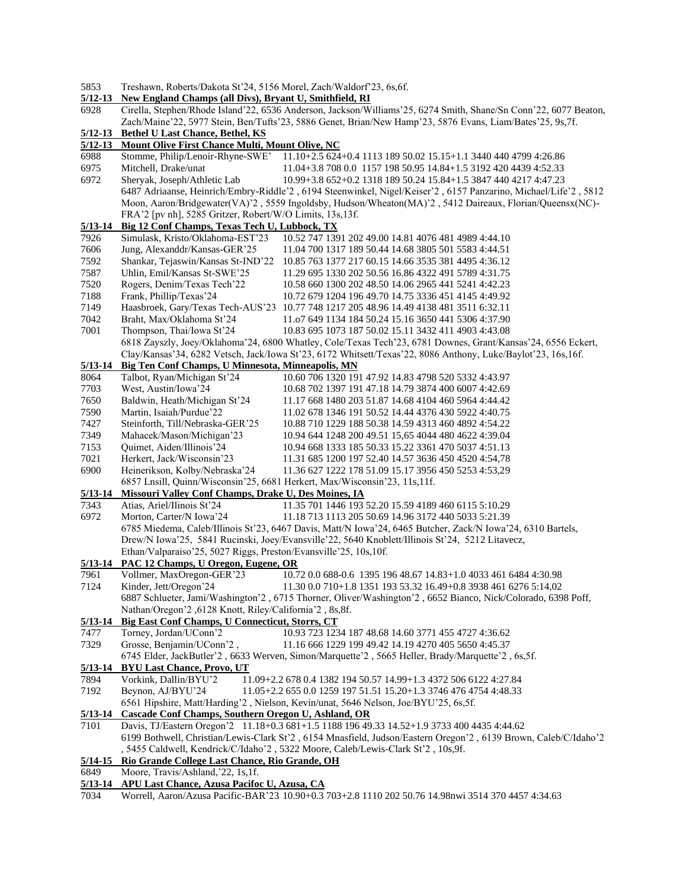|  | 5853 |  | Treshawn, Roberts/Dakota St'24, 5156 Morel, Zach/Waldorf'23, 6s, 6f. |  |  |  |  |
|--|------|--|----------------------------------------------------------------------|--|--|--|--|
|--|------|--|----------------------------------------------------------------------|--|--|--|--|

### **5/12-13 New England Champs (all Divs), Bryant U, Smithfield, RI**

| 6928        | Cirella, Stephen/Rhode Island'22, 6536 Anderson, Jackson/Williams'25, 6274 Smith, Shane/Sn Conn'22, 6077 Beaton, |                                                                                                                 |  |  |
|-------------|------------------------------------------------------------------------------------------------------------------|-----------------------------------------------------------------------------------------------------------------|--|--|
|             |                                                                                                                  | Zach/Maine'22, 5977 Stein, Ben/Tufts'23, 5886 Genet, Brian/New Hamp'23, 5876 Evans, Liam/Bates'25, 9s,7f.       |  |  |
| $5/12 - 13$ | <b>Bethel U Last Chance, Bethel, KS</b>                                                                          |                                                                                                                 |  |  |
| $5/12 - 13$ | Mount Olive First Chance Multi, Mount Olive, NC                                                                  |                                                                                                                 |  |  |
| 6988        |                                                                                                                  | Stomme, Philip/Lenoir-Rhyne-SWE' 11.10+2.5 624+0.4 1113 189 50.02 15.15+1.1 3440 440 4799 4:26.86               |  |  |
| 6975        | Mitchell, Drake/unat                                                                                             | 11.04+3.8 708 0.0 1157 198 50.95 14.84+1.5 3192 420 4439 4:52.33                                                |  |  |
| 6972        | Sheryak, Joseph/Athletic Lab                                                                                     | 10.99+3.8 652+0.2 1318 189 50.24 15.84+1.5 3847 440 4217 4:47.23                                                |  |  |
|             |                                                                                                                  | 6487 Adriaanse, Heinrich/Embry-Riddle'2, 6194 Steenwinkel, Nigel/Keiser'2, 6157 Panzarino, Michael/Life'2, 5812 |  |  |
|             |                                                                                                                  | Moon, Aaron/Bridgewater(VA)'2, 5559 Ingoldsby, Hudson/Wheaton(MA)'2, 5412 Daireaux, Florian/Queensx(NC)-        |  |  |
|             | FRA'2 [pv nh], 5285 Gritzer, Robert/W/O Limits, 13s, 13f.                                                        |                                                                                                                 |  |  |
| $5/13 - 14$ | Big 12 Conf Champs, Texas Tech U, Lubbock, TX                                                                    |                                                                                                                 |  |  |
| 7926        | Simulask, Kristo/Oklahoma-EST'23                                                                                 | 10.52 747 1391 202 49.00 14.81 4076 481 4989 4:44.10                                                            |  |  |
| 7606        | Jung, Alexanddr/Kansas-GER'25                                                                                    | 11.04 700 1317 189 50.44 14.68 3805 501 5583 4:44.51                                                            |  |  |
| 7592        | Shankar, Tejaswin/Kansas St-IND'22                                                                               | 10.85 763 1377 217 60.15 14.66 3535 381 4495 4:36.12                                                            |  |  |
| 7587        | Uhlin, Emil/Kansas St-SWE'25                                                                                     | 11.29 695 1330 202 50.56 16.86 4322 491 5789 4:31.75                                                            |  |  |
| 7520        | Rogers, Denim/Texas Tech'22                                                                                      | 10.58 660 1300 202 48.50 14.06 2965 441 5241 4:42.23                                                            |  |  |
| 7188        | Frank, Phillip/Texas'24                                                                                          | 10.72 679 1204 196 49.70 14.75 3336 451 4145 4:49.92                                                            |  |  |
| 7149        |                                                                                                                  | Haasbroek, Gary/Texas Tech-AUS'23 10.77 748 1217 205 48.96 14.49 4138 481 3511 6:32.11                          |  |  |
| 7042        | Braht, Max/Oklahoma St'24                                                                                        | 11.07 649 1134 184 50.24 15.16 3650 441 5306 4:37.90                                                            |  |  |
| 7001        | Thompson, Thai/Iowa St'24                                                                                        | 10.83 695 1073 187 50.02 15.11 3432 411 4903 4:43.08                                                            |  |  |
|             |                                                                                                                  | 6818 Zayszly, Joey/Oklahoma'24, 6800 Whatley, Cole/Texas Tech'23, 6781 Downes, Grant/Kansas'24, 6556 Eckert,    |  |  |
|             |                                                                                                                  | Clay/Kansas'34, 6282 Vetsch, Jack/Iowa St'23, 6172 Whitsett/Texas'22, 8086 Anthony, Luke/Baylot'23, 16s,16f.    |  |  |
| $5/13 - 14$ | Big Ten Conf Champs, U Minnesota, Minneapolis, MN                                                                |                                                                                                                 |  |  |
| 8064        | Talbot, Ryan/Michigan St'24                                                                                      | 10.60 706 1320 191 47.92 14.83 4798 520 5332 4:43.97                                                            |  |  |
| 7703        | West, Austin/Iowa'24                                                                                             | 10.68 702 1397 191 47.18 14.79 3874 400 6007 4:42.69                                                            |  |  |
| 7650        | Baldwin, Heath/Michigan St'24                                                                                    | 11.17 668 1480 203 51.87 14.68 4104 460 5964 4:44.42                                                            |  |  |
| 7590        | Martin, Isaiah/Purdue'22                                                                                         | 11.02 678 1346 191 50.52 14.44 4376 430 5922 4:40.75                                                            |  |  |
| 7427        | Steinforth, Till/Nebraska-GER'25                                                                                 | 10.88 710 1229 188 50.38 14.59 4313 460 4892 4:54.22                                                            |  |  |
| 7349        | Mahacek/Mason/Michigan'23                                                                                        | 10.94 644 1248 200 49.51 15,65 4044 480 4622 4:39.04                                                            |  |  |
| 7153        | Quimet, Aiden/Illinois'24                                                                                        | 10.94 668 1333 185 50.33 15.22 3361 470 5037 4:51.13                                                            |  |  |
| 7021        | Herkert, Jack/Wisconsin'23                                                                                       | 11.31 685 1200 197 52.40 14.57 3636 450 4520 4:54,78                                                            |  |  |
| 6900        | Heinerikson, Kolby/Nebraska'24                                                                                   | 11.36 627 1222 178 51.09 15.17 3956 450 5253 4:53,29                                                            |  |  |
|             | 6857 Lnsill, Quinn/Wisconsin'25, 6681 Herkert, Max/Wisconsin'23, 11s,11f.                                        |                                                                                                                 |  |  |
| $5/13 - 14$ | Missouri Valley Conf Champs, Drake U, Des Moines, IA                                                             |                                                                                                                 |  |  |
| 7343        | Atias, Ariel/Ilinois St'24                                                                                       | 11.35 701 1446 193 52.20 15.59 4189 460 6115 5:10.29                                                            |  |  |
| 6972        | Morton, Carter/N Iowa'24                                                                                         | 11.18 713 1113 205 50.69 14.96 3172 440 5033 5:21.39                                                            |  |  |
|             |                                                                                                                  | 6785 Miedema, Caleb/Illinois St'23, 6467 Davis, Matt/N Iowa'24, 6465 Butcher, Zack/N Iowa'24, 6310 Bartels,     |  |  |
|             |                                                                                                                  | Drew/N Iowa'25, 5841 Rucinski, Joey/Evansville'22, 5640 Knoblett/Illinois St'24, 5212 Litavecz,                 |  |  |
|             | Ethan/Valparaiso'25, 5027 Riggs, Preston/Evansville'25, 10s, 10f.                                                |                                                                                                                 |  |  |
|             | 5/13-14 PAC 12 Champs, U Oregon, Eugene, OR                                                                      |                                                                                                                 |  |  |
| 7961        | Vollmer, MaxOregon-GER'23                                                                                        | 10.72 0.0 688-0.6 1395 196 48.67 14.83+1.0 4033 461 6484 4:30.98                                                |  |  |
| 7124        | Kinder, Jett/Oregon'24                                                                                           | 11.30 0.0 710+1.8 1351 193 53.32 16.49+0.8 3938 461 6276 5:14,02                                                |  |  |
|             |                                                                                                                  | 6887 Schlueter, Jami/Washington'2, 6715 Thorner, Oliver/Washington'2, 6652 Bianco, Nick/Colorado, 6398 Poff,    |  |  |
|             | Nathan/Oregon'2 ,6128 Knott, Riley/California'2, 8s, 8f.                                                         |                                                                                                                 |  |  |
| $5/13 - 14$ | <b>Big East Conf Champs, U Connecticut, Storrs, CT</b>                                                           |                                                                                                                 |  |  |
| 7477        | Torney, Jordan/UConn'2                                                                                           | 10.93 723 1234 187 48.68 14.60 3771 455 4727 4:36.62                                                            |  |  |
| 7329        | Grosse, Benjamin/UConn'2,                                                                                        | 11.16 666 1229 199 49.42 14.19 4270 405 5650 4:45.37                                                            |  |  |
|             |                                                                                                                  | 6745 Elder, JackButler'2, 6633 Werven, Simon/Marquette'2, 5665 Heller, Brady/Marquette'2, 6s,5f.                |  |  |
| $5/13 - 14$ | <b>BYU Last Chance, Provo, UT</b>                                                                                |                                                                                                                 |  |  |
| 7894        | Vorkink, Dallin/BYU'2                                                                                            | 11.09+2.2 678 0.4 1382 194 50.57 14.99+1.3 4372 506 6122 4:27.84                                                |  |  |
| 7192        | Beynon, AJ/BYU'24                                                                                                | 11.05+2.2 655 0.0 1259 197 51.51 15.20+1.3 3746 476 4754 4:48.33                                                |  |  |
|             |                                                                                                                  | 6561 Hipshire, Matt/Harding'2, Nielson, Kevin/unat, 5646 Nelson, Joe/BYU'25, 6s, 5f.                            |  |  |
| $5/13 - 14$ | Cascade Conf Champs, Southern Oregon U, Ashland, OR                                                              |                                                                                                                 |  |  |
| 7101        |                                                                                                                  | Davis, TJ/Eastern Oregon'2 11.18+0.3 681+1.5 1188 196 49.33 14.52+1.9 3733 400 4435 4:44.62                     |  |  |
|             |                                                                                                                  | 6199 Bothwell, Christian/Lewis-Clark St'2, 6154 Mnasfield, Judson/Eastern Oregon'2, 6139 Brown, Caleb/C/Idaho'2 |  |  |
|             |                                                                                                                  | , 5455 Caldwell, Kendrick/C/Idaho'2, 5322 Moore, Caleb/Lewis-Clark St'2, 10s,9f.                                |  |  |
|             | 5/14-15 Rio Grande College Last Chance, Rio Grande, OH                                                           |                                                                                                                 |  |  |
| 6849        | Moore, Travis/Ashland, 22, 1s, 1f.                                                                               |                                                                                                                 |  |  |
| $5/13 - 14$ | APU Last Chance, Azusa Pacifoc U, Azusa, CA                                                                      |                                                                                                                 |  |  |
| 7034        |                                                                                                                  | Worrell, Aaron/Azusa Pacific-BAR'23 10.90+0.3 703+2.8 1110 202 50.76 14.98nwi 3514 370 4457 4:34.63             |  |  |
|             |                                                                                                                  |                                                                                                                 |  |  |